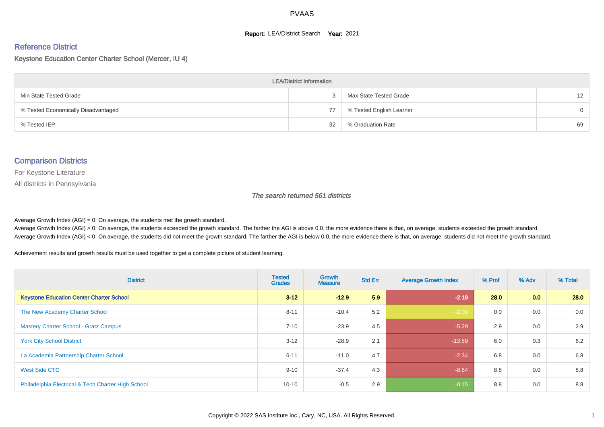#### **Report: LEA/District Search Year: 2021**

# Reference District

#### Keystone Education Center Charter School (Mercer, IU 4)

| <b>LEA/District Information</b>     |    |                          |                 |  |  |  |  |  |  |  |
|-------------------------------------|----|--------------------------|-----------------|--|--|--|--|--|--|--|
| Min State Tested Grade              |    | Max State Tested Grade   | 12 <sup>2</sup> |  |  |  |  |  |  |  |
| % Tested Economically Disadvantaged | 77 | % Tested English Learner | $\Omega$        |  |  |  |  |  |  |  |
| % Tested IEP                        | 32 | % Graduation Rate        | 69              |  |  |  |  |  |  |  |

#### Comparison Districts

For Keystone Literature

All districts in Pennsylvania

The search returned 561 districts

Average Growth Index  $(AGI) = 0$ : On average, the students met the growth standard.

Average Growth Index (AGI) > 0: On average, the students exceeded the growth standard. The farther the AGI is above 0.0, the more evidence there is that, on average, students exceeded the growth standard. Average Growth Index (AGI) < 0: On average, the students did not meet the growth standard. The farther the AGI is below 0.0, the more evidence there is that, on average, students did not meet the growth standard.

Achievement results and growth results must be used together to get a complete picture of student learning.

| <b>District</b>                                    | <b>Tested</b><br><b>Grades</b> | Growth<br><b>Measure</b> | <b>Std Err</b> | <b>Average Growth Index</b> | % Prof | % Adv            | % Total |
|----------------------------------------------------|--------------------------------|--------------------------|----------------|-----------------------------|--------|------------------|---------|
| <b>Keystone Education Center Charter School</b>    | $3 - 12$                       | $-12.9$                  | 5.9            | $-2.19$                     | 28.0   | 0.0 <sub>1</sub> | 28.0    |
| The New Academy Charter School                     | $8 - 11$                       | $-10.4$                  | 5.2            | $-2.00$                     | 0.0    | 0.0              | 0.0     |
| <b>Mastery Charter School - Gratz Campus</b>       | $7 - 10$                       | $-23.9$                  | 4.5            | $-5.29$                     | 2.9    | 0.0              | 2.9     |
| <b>York City School District</b>                   | $3 - 12$                       | $-28.9$                  | 2.1            | $-13.59$                    | 6.0    | 0.3              | 6.2     |
| La Academia Partnership Charter School             | $6 - 11$                       | $-11.0$                  | 4.7            | $-2.34$                     | 6.8    | 0.0              | 6.8     |
| West Side CTC                                      | $9 - 10$                       | $-37.4$                  | 4.3            | $-8.64$                     | 8.8    | 0.0              | 8.8     |
| Philadelphia Electrical & Tech Charter High School | $10 - 10$                      | $-0.5$                   | 2.9            | $-0.15$                     | 8.8    | 0.0              | 8.8     |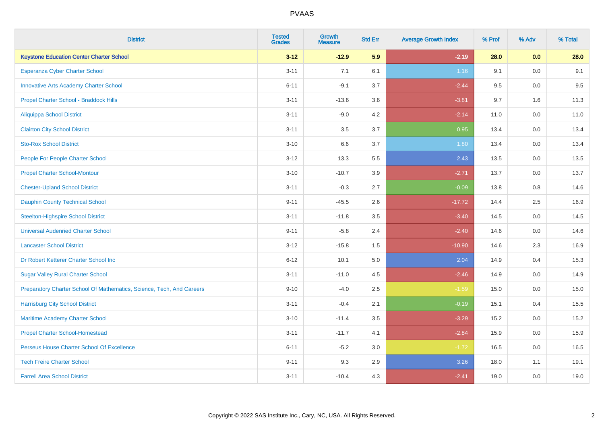| <b>District</b>                                                       | <b>Tested</b><br><b>Grades</b> | <b>Growth</b><br><b>Measure</b> | <b>Std Err</b> | <b>Average Growth Index</b> | % Prof | % Adv   | % Total |
|-----------------------------------------------------------------------|--------------------------------|---------------------------------|----------------|-----------------------------|--------|---------|---------|
| <b>Keystone Education Center Charter School</b>                       | $3 - 12$                       | $-12.9$                         | 5.9            | $-2.19$                     | 28.0   | 0.0     | 28.0    |
| Esperanza Cyber Charter School                                        | $3 - 11$                       | 7.1                             | 6.1            | 1.16                        | 9.1    | 0.0     | 9.1     |
| <b>Innovative Arts Academy Charter School</b>                         | $6 - 11$                       | $-9.1$                          | 3.7            | $-2.44$                     | 9.5    | 0.0     | 9.5     |
| Propel Charter School - Braddock Hills                                | $3 - 11$                       | $-13.6$                         | 3.6            | $-3.81$                     | 9.7    | 1.6     | 11.3    |
| <b>Aliquippa School District</b>                                      | $3 - 11$                       | $-9.0$                          | 4.2            | $-2.14$                     | 11.0   | 0.0     | 11.0    |
| <b>Clairton City School District</b>                                  | $3 - 11$                       | 3.5                             | 3.7            | 0.95                        | 13.4   | 0.0     | 13.4    |
| <b>Sto-Rox School District</b>                                        | $3 - 10$                       | 6.6                             | 3.7            | 1.80                        | 13.4   | 0.0     | 13.4    |
| People For People Charter School                                      | $3 - 12$                       | 13.3                            | 5.5            | 2.43                        | 13.5   | 0.0     | 13.5    |
| <b>Propel Charter School-Montour</b>                                  | $3 - 10$                       | $-10.7$                         | 3.9            | $-2.71$                     | 13.7   | 0.0     | 13.7    |
| <b>Chester-Upland School District</b>                                 | $3 - 11$                       | $-0.3$                          | 2.7            | $-0.09$                     | 13.8   | 0.8     | 14.6    |
| <b>Dauphin County Technical School</b>                                | $9 - 11$                       | $-45.5$                         | 2.6            | $-17.72$                    | 14.4   | $2.5\,$ | 16.9    |
| <b>Steelton-Highspire School District</b>                             | $3 - 11$                       | $-11.8$                         | 3.5            | $-3.40$                     | 14.5   | 0.0     | 14.5    |
| <b>Universal Audenried Charter School</b>                             | $9 - 11$                       | $-5.8$                          | 2.4            | $-2.40$                     | 14.6   | 0.0     | 14.6    |
| <b>Lancaster School District</b>                                      | $3 - 12$                       | $-15.8$                         | 1.5            | $-10.90$                    | 14.6   | 2.3     | 16.9    |
| Dr Robert Ketterer Charter School Inc                                 | $6 - 12$                       | 10.1                            | 5.0            | 2.04                        | 14.9   | 0.4     | 15.3    |
| <b>Sugar Valley Rural Charter School</b>                              | $3 - 11$                       | $-11.0$                         | 4.5            | $-2.46$                     | 14.9   | 0.0     | 14.9    |
| Preparatory Charter School Of Mathematics, Science, Tech, And Careers | $9 - 10$                       | $-4.0$                          | 2.5            | $-1.59$                     | 15.0   | $0.0\,$ | 15.0    |
| <b>Harrisburg City School District</b>                                | $3 - 11$                       | $-0.4$                          | 2.1            | $-0.19$                     | 15.1   | 0.4     | 15.5    |
| Maritime Academy Charter School                                       | $3 - 10$                       | $-11.4$                         | 3.5            | $-3.29$                     | 15.2   | 0.0     | 15.2    |
| <b>Propel Charter School-Homestead</b>                                | $3 - 11$                       | $-11.7$                         | 4.1            | $-2.84$                     | 15.9   | 0.0     | 15.9    |
| Perseus House Charter School Of Excellence                            | $6 - 11$                       | $-5.2$                          | 3.0            | $-1.72$                     | 16.5   | 0.0     | 16.5    |
| <b>Tech Freire Charter School</b>                                     | $9 - 11$                       | 9.3                             | 2.9            | 3.26                        | 18.0   | 1.1     | 19.1    |
| <b>Farrell Area School District</b>                                   | $3 - 11$                       | $-10.4$                         | 4.3            | $-2.41$                     | 19.0   | 0.0     | 19.0    |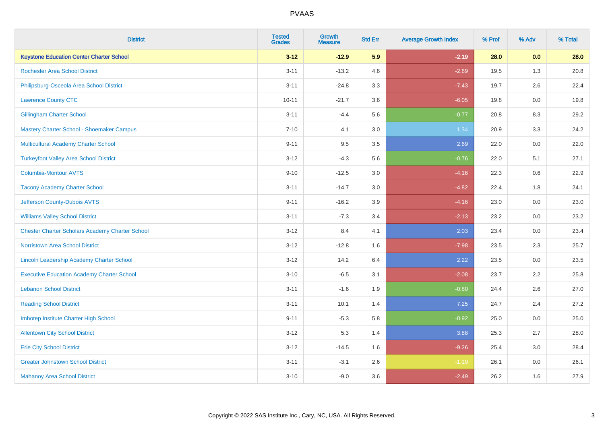| <b>District</b>                                        | <b>Tested</b><br><b>Grades</b> | <b>Growth</b><br><b>Measure</b> | <b>Std Err</b> | <b>Average Growth Index</b> | % Prof | % Adv   | % Total |
|--------------------------------------------------------|--------------------------------|---------------------------------|----------------|-----------------------------|--------|---------|---------|
| <b>Keystone Education Center Charter School</b>        | $3 - 12$                       | $-12.9$                         | 5.9            | $-2.19$                     | 28.0   | 0.0     | 28.0    |
| <b>Rochester Area School District</b>                  | $3 - 11$                       | $-13.2$                         | 4.6            | $-2.89$                     | 19.5   | 1.3     | 20.8    |
| Philipsburg-Osceola Area School District               | $3 - 11$                       | $-24.8$                         | 3.3            | $-7.43$                     | 19.7   | 2.6     | 22.4    |
| <b>Lawrence County CTC</b>                             | $10 - 11$                      | $-21.7$                         | 3.6            | $-6.05$                     | 19.8   | $0.0\,$ | 19.8    |
| <b>Gillingham Charter School</b>                       | $3 - 11$                       | $-4.4$                          | 5.6            | $-0.77$                     | 20.8   | 8.3     | 29.2    |
| Mastery Charter School - Shoemaker Campus              | $7 - 10$                       | 4.1                             | 3.0            | 1.34                        | 20.9   | 3.3     | 24.2    |
| Multicultural Academy Charter School                   | $9 - 11$                       | 9.5                             | 3.5            | 2.69                        | 22.0   | 0.0     | 22.0    |
| <b>Turkeyfoot Valley Area School District</b>          | $3 - 12$                       | $-4.3$                          | 5.6            | $-0.76$                     | 22.0   | 5.1     | 27.1    |
| <b>Columbia-Montour AVTS</b>                           | $9 - 10$                       | $-12.5$                         | 3.0            | $-4.16$                     | 22.3   | 0.6     | 22.9    |
| <b>Tacony Academy Charter School</b>                   | $3 - 11$                       | $-14.7$                         | 3.0            | $-4.82$                     | 22.4   | 1.8     | 24.1    |
| Jefferson County-Dubois AVTS                           | $9 - 11$                       | $-16.2$                         | 3.9            | $-4.16$                     | 23.0   | 0.0     | 23.0    |
| <b>Williams Valley School District</b>                 | $3 - 11$                       | $-7.3$                          | 3.4            | $-2.13$                     | 23.2   | 0.0     | 23.2    |
| <b>Chester Charter Scholars Academy Charter School</b> | $3 - 12$                       | 8.4                             | 4.1            | 2.03                        | 23.4   | 0.0     | 23.4    |
| Norristown Area School District                        | $3 - 12$                       | $-12.8$                         | 1.6            | $-7.98$                     | 23.5   | 2.3     | 25.7    |
| Lincoln Leadership Academy Charter School              | $3 - 12$                       | 14.2                            | 6.4            | 2.22                        | 23.5   | 0.0     | 23.5    |
| <b>Executive Education Academy Charter School</b>      | $3 - 10$                       | $-6.5$                          | 3.1            | $-2.08$                     | 23.7   | 2.2     | 25.8    |
| <b>Lebanon School District</b>                         | $3 - 11$                       | $-1.6$                          | 1.9            | $-0.80$                     | 24.4   | 2.6     | 27.0    |
| <b>Reading School District</b>                         | $3 - 11$                       | 10.1                            | 1.4            | 7.25                        | 24.7   | 2.4     | 27.2    |
| Imhotep Institute Charter High School                  | $9 - 11$                       | $-5.3$                          | 5.8            | $-0.92$                     | 25.0   | 0.0     | 25.0    |
| <b>Allentown City School District</b>                  | $3 - 12$                       | 5.3                             | 1.4            | 3.88                        | 25.3   | 2.7     | 28.0    |
| <b>Erie City School District</b>                       | $3 - 12$                       | $-14.5$                         | 1.6            | $-9.26$                     | 25.4   | 3.0     | 28.4    |
| <b>Greater Johnstown School District</b>               | $3 - 11$                       | $-3.1$                          | 2.6            | $-1.19$                     | 26.1   | 0.0     | 26.1    |
| <b>Mahanoy Area School District</b>                    | $3 - 10$                       | $-9.0$                          | 3.6            | $-2.49$                     | 26.2   | 1.6     | 27.9    |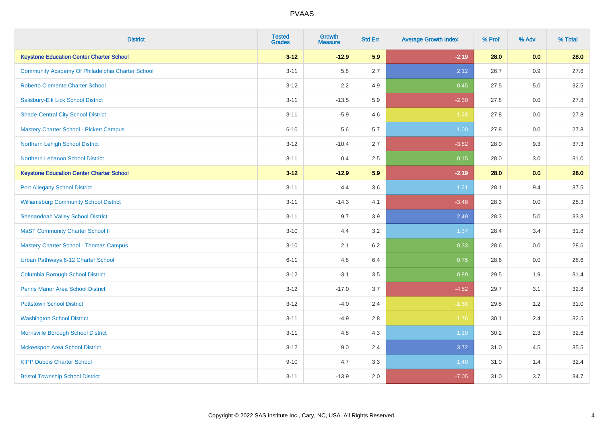| <b>District</b>                                  | <b>Tested</b><br><b>Grades</b> | <b>Growth</b><br><b>Measure</b> | <b>Std Err</b> | <b>Average Growth Index</b> | % Prof | % Adv | % Total |
|--------------------------------------------------|--------------------------------|---------------------------------|----------------|-----------------------------|--------|-------|---------|
| <b>Keystone Education Center Charter School</b>  | $3 - 12$                       | $-12.9$                         | 5.9            | $-2.19$                     | 28.0   | 0.0   | 28.0    |
| Community Academy Of Philadelphia Charter School | $3 - 11$                       | 5.8                             | 2.7            | 2.12                        | 26.7   | 0.9   | 27.6    |
| <b>Roberto Clemente Charter School</b>           | $3 - 12$                       | 2.2                             | 4.9            | 0.45                        | 27.5   | 5.0   | 32.5    |
| Salisbury-Elk Lick School District               | $3 - 11$                       | $-13.5$                         | 5.9            | $-2.30$                     | 27.8   | 0.0   | 27.8    |
| <b>Shade-Central City School District</b>        | $3 - 11$                       | $-5.9$                          | 4.6            | $-1.28$                     | 27.8   | 0.0   | 27.8    |
| <b>Mastery Charter School - Pickett Campus</b>   | $6 - 10$                       | 5.6                             | 5.7            | 1.00                        | 27.8   | 0.0   | 27.8    |
| Northern Lehigh School District                  | $3 - 12$                       | $-10.4$                         | 2.7            | $-3.82$                     | 28.0   | 9.3   | 37.3    |
| Northern Lebanon School District                 | $3 - 11$                       | 0.4                             | 2.5            | 0.15                        | 28.0   | 3.0   | 31.0    |
| <b>Keystone Education Center Charter School</b>  | $3 - 12$                       | $-12.9$                         | 5.9            | $-2.19$                     | 28.0   | 0.0   | 28.0    |
| <b>Port Allegany School District</b>             | $3 - 11$                       | 4.4                             | 3.6            | 1.21                        | 28.1   | 9.4   | 37.5    |
| <b>Williamsburg Community School District</b>    | $3 - 11$                       | $-14.3$                         | 4.1            | $-3.48$                     | 28.3   | 0.0   | 28.3    |
| <b>Shenandoah Valley School District</b>         | $3 - 11$                       | 9.7                             | 3.9            | 2.49                        | 28.3   | 5.0   | 33.3    |
| <b>MaST Community Charter School II</b>          | $3 - 10$                       | 4.4                             | 3.2            | 1.37                        | 28.4   | 3.4   | 31.8    |
| <b>Mastery Charter School - Thomas Campus</b>    | $3 - 10$                       | 2.1                             | 6.2            | 0.33                        | 28.6   | 0.0   | 28.6    |
| Urban Pathways 6-12 Charter School               | $6 - 11$                       | 4.8                             | 6.4            | 0.75                        | 28.6   | 0.0   | 28.6    |
| <b>Columbia Borough School District</b>          | $3 - 12$                       | $-3.1$                          | 3.5            | $-0.89$                     | 29.5   | 1.9   | 31.4    |
| <b>Penns Manor Area School District</b>          | $3 - 12$                       | $-17.0$                         | 3.7            | $-4.52$                     | 29.7   | 3.1   | 32.8    |
| <b>Pottstown School District</b>                 | $3 - 12$                       | $-4.0$                          | 2.4            | $-1.68$                     | 29.8   | 1.2   | 31.0    |
| <b>Washington School District</b>                | $3 - 11$                       | $-4.9$                          | 2.8            | $-1.76$                     | 30.1   | 2.4   | 32.5    |
| Morrisville Borough School District              | $3 - 11$                       | 4.8                             | 4.3            | 1.10                        | 30.2   | 2.3   | 32.6    |
| <b>Mckeesport Area School District</b>           | $3 - 12$                       | 9.0                             | 2.4            | 3.72                        | 31.0   | 4.5   | 35.5    |
| <b>KIPP Dubois Charter School</b>                | $9 - 10$                       | 4.7                             | 3.3            | 1.40                        | 31.0   | 1.4   | 32.4    |
| <b>Bristol Township School District</b>          | $3 - 11$                       | $-13.9$                         | 2.0            | $-7.05$                     | 31.0   | 3.7   | 34.7    |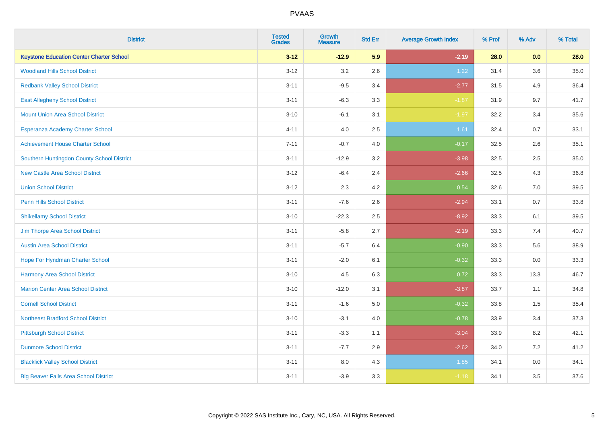| <b>District</b>                                 | <b>Tested</b><br><b>Grades</b> | <b>Growth</b><br><b>Measure</b> | <b>Std Err</b> | <b>Average Growth Index</b> | % Prof | % Adv | % Total  |
|-------------------------------------------------|--------------------------------|---------------------------------|----------------|-----------------------------|--------|-------|----------|
| <b>Keystone Education Center Charter School</b> | $3 - 12$                       | $-12.9$                         | 5.9            | $-2.19$                     | 28.0   | 0.0   | 28.0     |
| <b>Woodland Hills School District</b>           | $3 - 12$                       | 3.2                             | 2.6            | 1.22                        | 31.4   | 3.6   | $35.0\,$ |
| <b>Redbank Valley School District</b>           | $3 - 11$                       | $-9.5$                          | 3.4            | $-2.77$                     | 31.5   | 4.9   | 36.4     |
| <b>East Allegheny School District</b>           | $3 - 11$                       | $-6.3$                          | 3.3            | $-1.87$                     | 31.9   | 9.7   | 41.7     |
| <b>Mount Union Area School District</b>         | $3 - 10$                       | $-6.1$                          | 3.1            | $-1.97$                     | 32.2   | 3.4   | 35.6     |
| Esperanza Academy Charter School                | $4 - 11$                       | 4.0                             | 2.5            | 1.61                        | 32.4   | 0.7   | 33.1     |
| <b>Achievement House Charter School</b>         | $7 - 11$                       | $-0.7$                          | 4.0            | $-0.17$                     | 32.5   | 2.6   | 35.1     |
| Southern Huntingdon County School District      | $3 - 11$                       | $-12.9$                         | 3.2            | $-3.98$                     | 32.5   | 2.5   | 35.0     |
| <b>New Castle Area School District</b>          | $3 - 12$                       | $-6.4$                          | 2.4            | $-2.66$                     | 32.5   | 4.3   | 36.8     |
| <b>Union School District</b>                    | $3 - 12$                       | 2.3                             | 4.2            | 0.54                        | 32.6   | 7.0   | 39.5     |
| <b>Penn Hills School District</b>               | $3 - 11$                       | $-7.6$                          | 2.6            | $-2.94$                     | 33.1   | 0.7   | 33.8     |
| <b>Shikellamy School District</b>               | $3 - 10$                       | $-22.3$                         | 2.5            | $-8.92$                     | 33.3   | 6.1   | 39.5     |
| Jim Thorpe Area School District                 | $3 - 11$                       | $-5.8$                          | 2.7            | $-2.19$                     | 33.3   | 7.4   | 40.7     |
| <b>Austin Area School District</b>              | $3 - 11$                       | $-5.7$                          | 6.4            | $-0.90$                     | 33.3   | 5.6   | 38.9     |
| Hope For Hyndman Charter School                 | $3 - 11$                       | $-2.0$                          | 6.1            | $-0.32$                     | 33.3   | 0.0   | 33.3     |
| Harmony Area School District                    | $3 - 10$                       | 4.5                             | 6.3            | 0.72                        | 33.3   | 13.3  | 46.7     |
| <b>Marion Center Area School District</b>       | $3 - 10$                       | $-12.0$                         | 3.1            | $-3.87$                     | 33.7   | 1.1   | 34.8     |
| <b>Cornell School District</b>                  | $3 - 11$                       | $-1.6$                          | 5.0            | $-0.32$                     | 33.8   | 1.5   | 35.4     |
| <b>Northeast Bradford School District</b>       | $3 - 10$                       | $-3.1$                          | 4.0            | $-0.78$                     | 33.9   | 3.4   | 37.3     |
| <b>Pittsburgh School District</b>               | $3 - 11$                       | $-3.3$                          | 1.1            | $-3.04$                     | 33.9   | 8.2   | 42.1     |
| <b>Dunmore School District</b>                  | $3 - 11$                       | $-7.7$                          | 2.9            | $-2.62$                     | 34.0   | 7.2   | 41.2     |
| <b>Blacklick Valley School District</b>         | $3 - 11$                       | 8.0                             | 4.3            | 1.85                        | 34.1   | 0.0   | 34.1     |
| <b>Big Beaver Falls Area School District</b>    | $3 - 11$                       | $-3.9$                          | 3.3            | $-1.18$                     | 34.1   | 3.5   | 37.6     |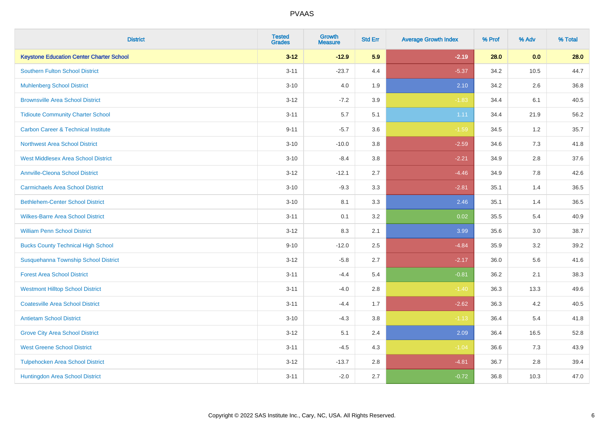| <b>District</b>                                 | <b>Tested</b><br><b>Grades</b> | <b>Growth</b><br><b>Measure</b> | <b>Std Err</b> | <b>Average Growth Index</b> | % Prof | % Adv | % Total |
|-------------------------------------------------|--------------------------------|---------------------------------|----------------|-----------------------------|--------|-------|---------|
| <b>Keystone Education Center Charter School</b> | $3 - 12$                       | $-12.9$                         | 5.9            | $-2.19$                     | 28.0   | 0.0   | 28.0    |
| <b>Southern Fulton School District</b>          | $3 - 11$                       | $-23.7$                         | 4.4            | $-5.37$                     | 34.2   | 10.5  | 44.7    |
| <b>Muhlenberg School District</b>               | $3 - 10$                       | 4.0                             | 1.9            | 2.10                        | 34.2   | 2.6   | 36.8    |
| <b>Brownsville Area School District</b>         | $3 - 12$                       | $-7.2$                          | 3.9            | $-1.83$                     | 34.4   | 6.1   | 40.5    |
| <b>Tidioute Community Charter School</b>        | $3 - 11$                       | 5.7                             | 5.1            | 1.11                        | 34.4   | 21.9  | 56.2    |
| <b>Carbon Career &amp; Technical Institute</b>  | $9 - 11$                       | $-5.7$                          | 3.6            | $-1.59$                     | 34.5   | 1.2   | 35.7    |
| <b>Northwest Area School District</b>           | $3 - 10$                       | $-10.0$                         | 3.8            | $-2.59$                     | 34.6   | 7.3   | 41.8    |
| <b>West Middlesex Area School District</b>      | $3 - 10$                       | $-8.4$                          | 3.8            | $-2.21$                     | 34.9   | 2.8   | 37.6    |
| <b>Annville-Cleona School District</b>          | $3 - 12$                       | $-12.1$                         | 2.7            | $-4.46$                     | 34.9   | 7.8   | 42.6    |
| <b>Carmichaels Area School District</b>         | $3 - 10$                       | $-9.3$                          | 3.3            | $-2.81$                     | 35.1   | 1.4   | 36.5    |
| <b>Bethlehem-Center School District</b>         | $3 - 10$                       | 8.1                             | 3.3            | 2.46                        | 35.1   | 1.4   | 36.5    |
| <b>Wilkes-Barre Area School District</b>        | $3 - 11$                       | 0.1                             | 3.2            | 0.02                        | 35.5   | 5.4   | 40.9    |
| <b>William Penn School District</b>             | $3 - 12$                       | 8.3                             | 2.1            | 3.99                        | 35.6   | 3.0   | 38.7    |
| <b>Bucks County Technical High School</b>       | $9 - 10$                       | $-12.0$                         | 2.5            | $-4.84$                     | 35.9   | 3.2   | 39.2    |
| Susquehanna Township School District            | $3 - 12$                       | $-5.8$                          | 2.7            | $-2.17$                     | 36.0   | 5.6   | 41.6    |
| <b>Forest Area School District</b>              | $3 - 11$                       | $-4.4$                          | 5.4            | $-0.81$                     | 36.2   | 2.1   | 38.3    |
| <b>Westmont Hilltop School District</b>         | $3 - 11$                       | $-4.0$                          | 2.8            | $-1.40$                     | 36.3   | 13.3  | 49.6    |
| <b>Coatesville Area School District</b>         | $3 - 11$                       | $-4.4$                          | 1.7            | $-2.62$                     | 36.3   | 4.2   | 40.5    |
| <b>Antietam School District</b>                 | $3 - 10$                       | $-4.3$                          | 3.8            | $-1.13$                     | 36.4   | 5.4   | 41.8    |
| <b>Grove City Area School District</b>          | $3-12$                         | 5.1                             | 2.4            | 2.09                        | 36.4   | 16.5  | 52.8    |
| <b>West Greene School District</b>              | $3 - 11$                       | $-4.5$                          | 4.3            | $-1.04$                     | 36.6   | 7.3   | 43.9    |
| <b>Tulpehocken Area School District</b>         | $3 - 12$                       | $-13.7$                         | 2.8            | $-4.81$                     | 36.7   | 2.8   | 39.4    |
| Huntingdon Area School District                 | $3 - 11$                       | $-2.0$                          | 2.7            | $-0.72$                     | 36.8   | 10.3  | 47.0    |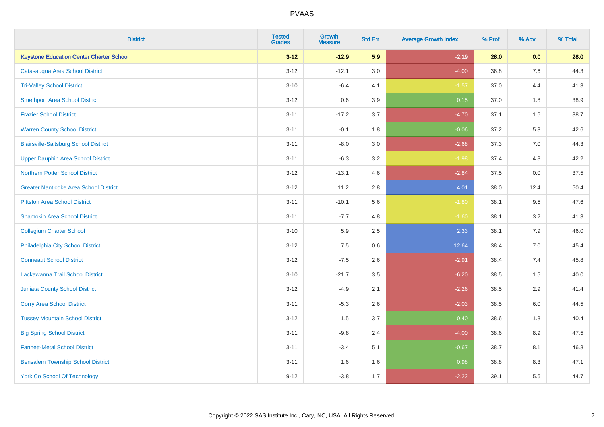| <b>District</b>                                 | <b>Tested</b><br><b>Grades</b> | <b>Growth</b><br><b>Measure</b> | <b>Std Err</b> | <b>Average Growth Index</b> | % Prof | % Adv | % Total |
|-------------------------------------------------|--------------------------------|---------------------------------|----------------|-----------------------------|--------|-------|---------|
| <b>Keystone Education Center Charter School</b> | $3 - 12$                       | $-12.9$                         | 5.9            | $-2.19$                     | 28.0   | 0.0   | 28.0    |
| Catasauqua Area School District                 | $3 - 12$                       | $-12.1$                         | 3.0            | $-4.00$                     | 36.8   | 7.6   | 44.3    |
| <b>Tri-Valley School District</b>               | $3 - 10$                       | $-6.4$                          | 4.1            | $-1.57$                     | 37.0   | 4.4   | 41.3    |
| <b>Smethport Area School District</b>           | $3-12$                         | 0.6                             | 3.9            | 0.15                        | 37.0   | 1.8   | 38.9    |
| <b>Frazier School District</b>                  | $3 - 11$                       | $-17.2$                         | 3.7            | $-4.70$                     | 37.1   | 1.6   | 38.7    |
| <b>Warren County School District</b>            | $3 - 11$                       | $-0.1$                          | 1.8            | $-0.06$                     | 37.2   | 5.3   | 42.6    |
| <b>Blairsville-Saltsburg School District</b>    | $3 - 11$                       | $-8.0$                          | 3.0            | $-2.68$                     | 37.3   | 7.0   | 44.3    |
| <b>Upper Dauphin Area School District</b>       | $3 - 11$                       | $-6.3$                          | 3.2            | $-1.98$                     | 37.4   | 4.8   | 42.2    |
| <b>Northern Potter School District</b>          | $3-12$                         | $-13.1$                         | 4.6            | $-2.84$                     | 37.5   | 0.0   | 37.5    |
| <b>Greater Nanticoke Area School District</b>   | $3 - 12$                       | 11.2                            | 2.8            | 4.01                        | 38.0   | 12.4  | 50.4    |
| <b>Pittston Area School District</b>            | $3 - 11$                       | $-10.1$                         | 5.6            | $-1.80$                     | 38.1   | 9.5   | 47.6    |
| <b>Shamokin Area School District</b>            | $3 - 11$                       | $-7.7$                          | 4.8            | $-1.60$                     | 38.1   | 3.2   | 41.3    |
| <b>Collegium Charter School</b>                 | $3 - 10$                       | 5.9                             | 2.5            | 2.33                        | 38.1   | $7.9$ | 46.0    |
| Philadelphia City School District               | $3 - 12$                       | 7.5                             | 0.6            | 12.64                       | 38.4   | 7.0   | 45.4    |
| <b>Conneaut School District</b>                 | $3-12$                         | $-7.5$                          | 2.6            | $-2.91$                     | 38.4   | 7.4   | 45.8    |
| Lackawanna Trail School District                | $3 - 10$                       | $-21.7$                         | 3.5            | $-6.20$                     | 38.5   | 1.5   | 40.0    |
| <b>Juniata County School District</b>           | $3 - 12$                       | $-4.9$                          | 2.1            | $-2.26$                     | 38.5   | 2.9   | 41.4    |
| <b>Corry Area School District</b>               | $3 - 11$                       | $-5.3$                          | 2.6            | $-2.03$                     | 38.5   | 6.0   | 44.5    |
| <b>Tussey Mountain School District</b>          | $3 - 12$                       | 1.5                             | 3.7            | 0.40                        | 38.6   | 1.8   | 40.4    |
| <b>Big Spring School District</b>               | $3 - 11$                       | $-9.8$                          | 2.4            | $-4.00$                     | 38.6   | 8.9   | 47.5    |
| <b>Fannett-Metal School District</b>            | $3 - 11$                       | $-3.4$                          | 5.1            | $-0.67$                     | 38.7   | 8.1   | 46.8    |
| <b>Bensalem Township School District</b>        | $3 - 11$                       | 1.6                             | 1.6            | 0.98                        | 38.8   | 8.3   | 47.1    |
| <b>York Co School Of Technology</b>             | $9 - 12$                       | $-3.8$                          | 1.7            | $-2.22$                     | 39.1   | 5.6   | 44.7    |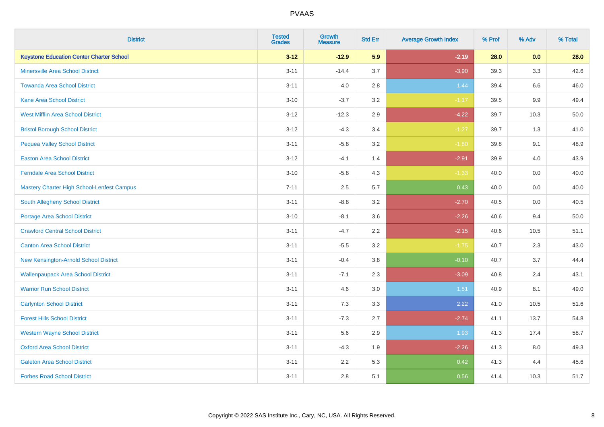| <b>District</b>                                   | <b>Tested</b><br><b>Grades</b> | <b>Growth</b><br><b>Measure</b> | <b>Std Err</b> | <b>Average Growth Index</b> | % Prof | % Adv   | % Total |
|---------------------------------------------------|--------------------------------|---------------------------------|----------------|-----------------------------|--------|---------|---------|
| <b>Keystone Education Center Charter School</b>   | $3 - 12$                       | $-12.9$                         | 5.9            | $-2.19$                     | 28.0   | 0.0     | 28.0    |
| <b>Minersville Area School District</b>           | $3 - 11$                       | $-14.4$                         | 3.7            | $-3.90$                     | 39.3   | 3.3     | 42.6    |
| <b>Towanda Area School District</b>               | $3 - 11$                       | 4.0                             | 2.8            | 1.44                        | 39.4   | 6.6     | 46.0    |
| <b>Kane Area School District</b>                  | $3 - 10$                       | $-3.7$                          | 3.2            | $-1.17$                     | 39.5   | $9.9\,$ | 49.4    |
| <b>West Mifflin Area School District</b>          | $3 - 12$                       | $-12.3$                         | 2.9            | $-4.22$                     | 39.7   | 10.3    | 50.0    |
| <b>Bristol Borough School District</b>            | $3 - 12$                       | $-4.3$                          | 3.4            | $-1.27$                     | 39.7   | 1.3     | 41.0    |
| Pequea Valley School District                     | $3 - 11$                       | $-5.8$                          | 3.2            | $-1.80$                     | 39.8   | 9.1     | 48.9    |
| <b>Easton Area School District</b>                | $3 - 12$                       | $-4.1$                          | 1.4            | $-2.91$                     | 39.9   | 4.0     | 43.9    |
| <b>Ferndale Area School District</b>              | $3 - 10$                       | $-5.8$                          | 4.3            | $-1.33$                     | 40.0   | 0.0     | 40.0    |
| <b>Mastery Charter High School-Lenfest Campus</b> | $7 - 11$                       | 2.5                             | 5.7            | 0.43                        | 40.0   | 0.0     | 40.0    |
| South Allegheny School District                   | $3 - 11$                       | $-8.8$                          | 3.2            | $-2.70$                     | 40.5   | 0.0     | 40.5    |
| <b>Portage Area School District</b>               | $3 - 10$                       | $-8.1$                          | 3.6            | $-2.26$                     | 40.6   | 9.4     | 50.0    |
| <b>Crawford Central School District</b>           | $3 - 11$                       | $-4.7$                          | 2.2            | $-2.15$                     | 40.6   | 10.5    | 51.1    |
| <b>Canton Area School District</b>                | $3 - 11$                       | $-5.5$                          | 3.2            | $-1.75$                     | 40.7   | 2.3     | 43.0    |
| New Kensington-Arnold School District             | $3 - 11$                       | $-0.4$                          | 3.8            | $-0.10$                     | 40.7   | 3.7     | 44.4    |
| <b>Wallenpaupack Area School District</b>         | $3 - 11$                       | $-7.1$                          | 2.3            | $-3.09$                     | 40.8   | 2.4     | 43.1    |
| <b>Warrior Run School District</b>                | $3 - 11$                       | 4.6                             | 3.0            | 1.51                        | 40.9   | 8.1     | 49.0    |
| <b>Carlynton School District</b>                  | $3 - 11$                       | 7.3                             | 3.3            | 2.22                        | 41.0   | 10.5    | 51.6    |
| <b>Forest Hills School District</b>               | $3 - 11$                       | $-7.3$                          | 2.7            | $-2.74$                     | 41.1   | 13.7    | 54.8    |
| <b>Western Wayne School District</b>              | $3 - 11$                       | 5.6                             | 2.9            | 1.93                        | 41.3   | 17.4    | 58.7    |
| <b>Oxford Area School District</b>                | $3 - 11$                       | $-4.3$                          | 1.9            | $-2.26$                     | 41.3   | 8.0     | 49.3    |
| <b>Galeton Area School District</b>               | $3 - 11$                       | 2.2                             | 5.3            | 0.42                        | 41.3   | 4.4     | 45.6    |
| <b>Forbes Road School District</b>                | $3 - 11$                       | 2.8                             | 5.1            | 0.56                        | 41.4   | 10.3    | 51.7    |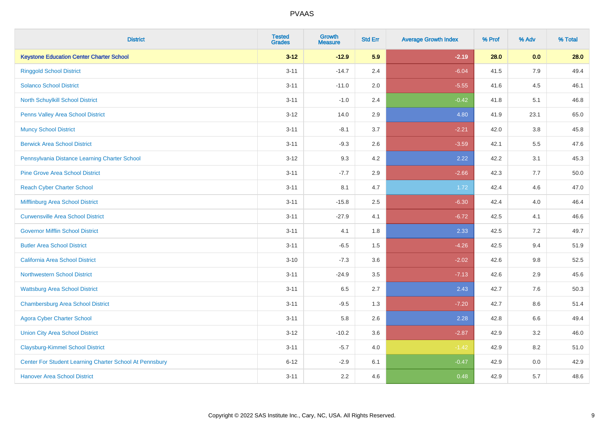| <b>District</b>                                         | <b>Tested</b><br><b>Grades</b> | <b>Growth</b><br><b>Measure</b> | <b>Std Err</b> | <b>Average Growth Index</b> | % Prof | % Adv   | % Total |
|---------------------------------------------------------|--------------------------------|---------------------------------|----------------|-----------------------------|--------|---------|---------|
| <b>Keystone Education Center Charter School</b>         | $3 - 12$                       | $-12.9$                         | 5.9            | $-2.19$                     | 28.0   | 0.0     | 28.0    |
| <b>Ringgold School District</b>                         | $3 - 11$                       | $-14.7$                         | 2.4            | $-6.04$                     | 41.5   | 7.9     | 49.4    |
| <b>Solanco School District</b>                          | $3 - 11$                       | $-11.0$                         | 2.0            | $-5.55$                     | 41.6   | 4.5     | 46.1    |
| North Schuylkill School District                        | $3 - 11$                       | $-1.0$                          | 2.4            | $-0.42$                     | 41.8   | 5.1     | 46.8    |
| Penns Valley Area School District                       | $3 - 12$                       | 14.0                            | 2.9            | 4.80                        | 41.9   | 23.1    | 65.0    |
| <b>Muncy School District</b>                            | $3 - 11$                       | $-8.1$                          | 3.7            | $-2.21$                     | 42.0   | 3.8     | 45.8    |
| <b>Berwick Area School District</b>                     | $3 - 11$                       | $-9.3$                          | 2.6            | $-3.59$                     | 42.1   | 5.5     | 47.6    |
| Pennsylvania Distance Learning Charter School           | $3 - 12$                       | 9.3                             | 4.2            | 2.22                        | 42.2   | 3.1     | 45.3    |
| <b>Pine Grove Area School District</b>                  | $3 - 11$                       | $-7.7$                          | 2.9            | $-2.66$                     | 42.3   | 7.7     | 50.0    |
| <b>Reach Cyber Charter School</b>                       | $3 - 11$                       | 8.1                             | 4.7            | 1.72                        | 42.4   | 4.6     | 47.0    |
| Mifflinburg Area School District                        | $3 - 11$                       | $-15.8$                         | 2.5            | $-6.30$                     | 42.4   | 4.0     | 46.4    |
| <b>Curwensville Area School District</b>                | $3 - 11$                       | $-27.9$                         | 4.1            | $-6.72$                     | 42.5   | 4.1     | 46.6    |
| <b>Governor Mifflin School District</b>                 | $3 - 11$                       | 4.1                             | 1.8            | 2.33                        | 42.5   | 7.2     | 49.7    |
| <b>Butler Area School District</b>                      | $3 - 11$                       | $-6.5$                          | 1.5            | $-4.26$                     | 42.5   | 9.4     | 51.9    |
| <b>California Area School District</b>                  | $3 - 10$                       | $-7.3$                          | 3.6            | $-2.02$                     | 42.6   | $9.8\,$ | 52.5    |
| <b>Northwestern School District</b>                     | $3 - 11$                       | $-24.9$                         | 3.5            | $-7.13$                     | 42.6   | 2.9     | 45.6    |
| <b>Wattsburg Area School District</b>                   | $3 - 11$                       | 6.5                             | 2.7            | 2.43                        | 42.7   | 7.6     | 50.3    |
| <b>Chambersburg Area School District</b>                | $3 - 11$                       | $-9.5$                          | 1.3            | $-7.20$                     | 42.7   | 8.6     | 51.4    |
| <b>Agora Cyber Charter School</b>                       | $3 - 11$                       | 5.8                             | 2.6            | 2.28                        | 42.8   | $6.6\,$ | 49.4    |
| <b>Union City Area School District</b>                  | $3 - 12$                       | $-10.2$                         | 3.6            | $-2.87$                     | 42.9   | 3.2     | 46.0    |
| <b>Claysburg-Kimmel School District</b>                 | $3 - 11$                       | $-5.7$                          | 4.0            | $-1.42$                     | 42.9   | 8.2     | 51.0    |
| Center For Student Learning Charter School At Pennsbury | $6 - 12$                       | $-2.9$                          | 6.1            | $-0.47$                     | 42.9   | 0.0     | 42.9    |
| <b>Hanover Area School District</b>                     | $3 - 11$                       | 2.2                             | 4.6            | 0.48                        | 42.9   | 5.7     | 48.6    |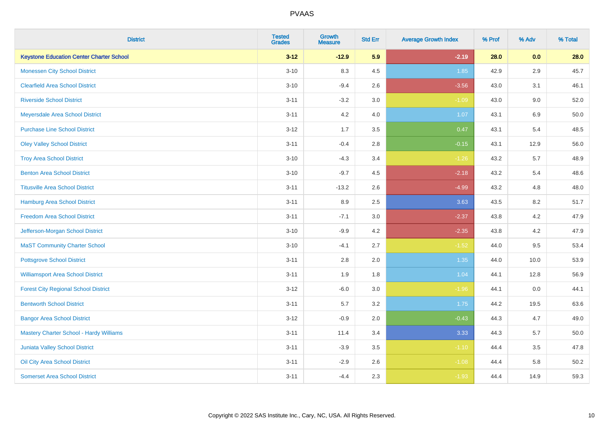| <b>District</b>                                 | <b>Tested</b><br><b>Grades</b> | <b>Growth</b><br><b>Measure</b> | <b>Std Err</b> | <b>Average Growth Index</b> | % Prof | % Adv   | % Total |
|-------------------------------------------------|--------------------------------|---------------------------------|----------------|-----------------------------|--------|---------|---------|
| <b>Keystone Education Center Charter School</b> | $3 - 12$                       | $-12.9$                         | 5.9            | $-2.19$                     | 28.0   | 0.0     | 28.0    |
| <b>Monessen City School District</b>            | $3 - 10$                       | 8.3                             | 4.5            | 1.85                        | 42.9   | $2.9\,$ | 45.7    |
| <b>Clearfield Area School District</b>          | $3 - 10$                       | $-9.4$                          | 2.6            | $-3.56$                     | 43.0   | 3.1     | 46.1    |
| <b>Riverside School District</b>                | $3 - 11$                       | $-3.2$                          | 3.0            | $-1.09$                     | 43.0   | 9.0     | 52.0    |
| Meyersdale Area School District                 | $3 - 11$                       | 4.2                             | 4.0            | 1.07                        | 43.1   | 6.9     | 50.0    |
| <b>Purchase Line School District</b>            | $3 - 12$                       | 1.7                             | 3.5            | 0.47                        | 43.1   | 5.4     | 48.5    |
| <b>Oley Valley School District</b>              | $3 - 11$                       | $-0.4$                          | 2.8            | $-0.15$                     | 43.1   | 12.9    | 56.0    |
| <b>Troy Area School District</b>                | $3 - 10$                       | $-4.3$                          | 3.4            | $-1.26$                     | 43.2   | 5.7     | 48.9    |
| <b>Benton Area School District</b>              | $3 - 10$                       | $-9.7$                          | 4.5            | $-2.18$                     | 43.2   | 5.4     | 48.6    |
| <b>Titusville Area School District</b>          | $3 - 11$                       | $-13.2$                         | 2.6            | $-4.99$                     | 43.2   | 4.8     | 48.0    |
| Hamburg Area School District                    | $3 - 11$                       | 8.9                             | 2.5            | 3.63                        | 43.5   | 8.2     | 51.7    |
| <b>Freedom Area School District</b>             | $3 - 11$                       | $-7.1$                          | 3.0            | $-2.37$                     | 43.8   | 4.2     | 47.9    |
| Jefferson-Morgan School District                | $3 - 10$                       | $-9.9$                          | 4.2            | $-2.35$                     | 43.8   | 4.2     | 47.9    |
| <b>MaST Community Charter School</b>            | $3 - 10$                       | $-4.1$                          | 2.7            | $-1.52$                     | 44.0   | 9.5     | 53.4    |
| <b>Pottsgrove School District</b>               | $3 - 11$                       | 2.8                             | 2.0            | 1.35                        | 44.0   | 10.0    | 53.9    |
| <b>Williamsport Area School District</b>        | $3 - 11$                       | 1.9                             | 1.8            | 1.04                        | 44.1   | 12.8    | 56.9    |
| <b>Forest City Regional School District</b>     | $3 - 12$                       | $-6.0$                          | 3.0            | $-1.96$                     | 44.1   | 0.0     | 44.1    |
| <b>Bentworth School District</b>                | $3 - 11$                       | 5.7                             | 3.2            | 1.75                        | 44.2   | 19.5    | 63.6    |
| <b>Bangor Area School District</b>              | $3 - 12$                       | $-0.9$                          | 2.0            | $-0.43$                     | 44.3   | 4.7     | 49.0    |
| <b>Mastery Charter School - Hardy Williams</b>  | $3 - 11$                       | 11.4                            | 3.4            | 3.33                        | 44.3   | 5.7     | 50.0    |
| Juniata Valley School District                  | $3 - 11$                       | $-3.9$                          | 3.5            | $-1.10$                     | 44.4   | 3.5     | 47.8    |
| Oil City Area School District                   | $3 - 11$                       | $-2.9$                          | 2.6            | $-1.08$                     | 44.4   | 5.8     | 50.2    |
| <b>Somerset Area School District</b>            | $3 - 11$                       | $-4.4$                          | 2.3            | $-1.93$                     | 44.4   | 14.9    | 59.3    |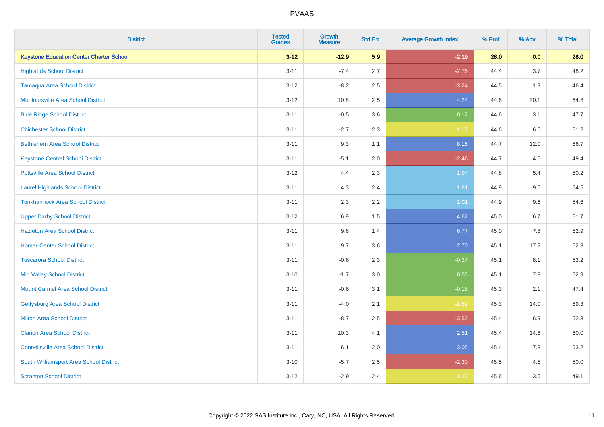| <b>District</b>                                 | <b>Tested</b><br><b>Grades</b> | <b>Growth</b><br><b>Measure</b> | <b>Std Err</b> | <b>Average Growth Index</b> | % Prof | % Adv | % Total |
|-------------------------------------------------|--------------------------------|---------------------------------|----------------|-----------------------------|--------|-------|---------|
| <b>Keystone Education Center Charter School</b> | $3 - 12$                       | $-12.9$                         | 5.9            | $-2.19$                     | 28.0   | 0.0   | 28.0    |
| <b>Highlands School District</b>                | $3 - 11$                       | $-7.4$                          | 2.7            | $-2.76$                     | 44.4   | 3.7   | 48.2    |
| <b>Tamaqua Area School District</b>             | $3 - 12$                       | $-8.2$                          | 2.5            | $-3.24$                     | 44.5   | 1.9   | 46.4    |
| <b>Montoursville Area School District</b>       | $3 - 12$                       | 10.8                            | 2.5            | 4.24                        | 44.6   | 20.1  | 64.8    |
| <b>Blue Ridge School District</b>               | $3 - 11$                       | $-0.5$                          | 3.6            | $-0.12$                     | 44.6   | 3.1   | 47.7    |
| <b>Chichester School District</b>               | $3 - 11$                       | $-2.7$                          | 2.3            | $-1.17$                     | 44.6   | 6.6   | 51.2    |
| <b>Bethlehem Area School District</b>           | $3 - 11$                       | 9.3                             | 1.1            | 8.15                        | 44.7   | 12.0  | 56.7    |
| <b>Keystone Central School District</b>         | $3 - 11$                       | $-5.1$                          | 2.0            | $-2.46$                     | 44.7   | 4.6   | 49.4    |
| <b>Pottsville Area School District</b>          | $3 - 12$                       | 4.4                             | 2.3            | 1.94                        | 44.8   | 5.4   | 50.2    |
| <b>Laurel Highlands School District</b>         | $3 - 11$                       | 4.3                             | 2.4            | 1.81                        | 44.9   | 9.6   | 54.5    |
| <b>Tunkhannock Area School District</b>         | $3 - 11$                       | 2.3                             | 2.2            | 1.01                        | 44.9   | 9.6   | 54.6    |
| <b>Upper Darby School District</b>              | $3 - 12$                       | 6.9                             | 1.5            | 4.62                        | 45.0   | 6.7   | 51.7    |
| <b>Hazleton Area School District</b>            | $3 - 11$                       | 9.6                             | 1.4            | 6.77                        | 45.0   | 7.8   | 52.9    |
| <b>Homer-Center School District</b>             | $3 - 11$                       | 9.7                             | 3.6            | 2.70                        | 45.1   | 17.2  | 62.3    |
| <b>Tuscarora School District</b>                | $3 - 11$                       | $-0.6$                          | 2.3            | $-0.27$                     | 45.1   | 8.1   | 53.2    |
| <b>Mid Valley School District</b>               | $3 - 10$                       | $-1.7$                          | 3.0            | $-0.55$                     | 45.1   | 7.8   | 52.9    |
| <b>Mount Carmel Area School District</b>        | $3 - 11$                       | $-0.6$                          | 3.1            | $-0.18$                     | 45.3   | 2.1   | 47.4    |
| Gettysburg Area School District                 | $3 - 11$                       | $-4.0$                          | 2.1            | $-1.89$                     | 45.3   | 14.0  | 59.3    |
| <b>Milton Area School District</b>              | $3 - 11$                       | $-8.7$                          | 2.5            | $-3.52$                     | 45.4   | 6.9   | 52.3    |
| <b>Clarion Area School District</b>             | $3 - 11$                       | 10.3                            | 4.1            | 2.51                        | 45.4   | 14.6  | 60.0    |
| <b>Connellsville Area School District</b>       | $3 - 11$                       | 6.1                             | 2.0            | 3.05                        | 45.4   | 7.8   | 53.2    |
| South Williamsport Area School District         | $3 - 10$                       | $-5.7$                          | 2.5            | $-2.30$                     | 45.5   | 4.5   | 50.0    |
| <b>Scranton School District</b>                 | $3 - 12$                       | $-2.9$                          | 2.4            | $-1.22$                     | 45.6   | 3.6   | 49.1    |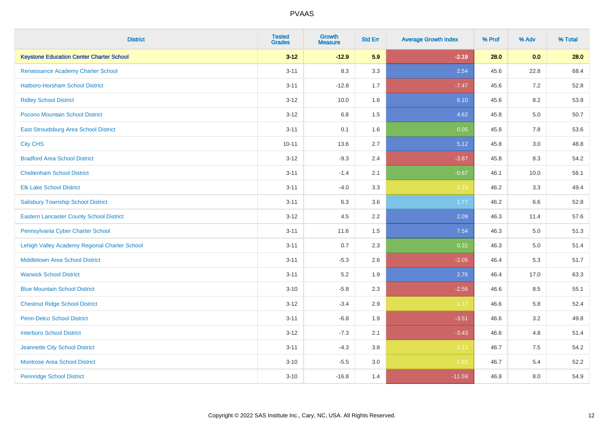| <b>District</b>                                 | <b>Tested</b><br><b>Grades</b> | <b>Growth</b><br><b>Measure</b> | <b>Std Err</b> | <b>Average Growth Index</b> | % Prof | % Adv   | % Total |
|-------------------------------------------------|--------------------------------|---------------------------------|----------------|-----------------------------|--------|---------|---------|
| <b>Keystone Education Center Charter School</b> | $3 - 12$                       | $-12.9$                         | 5.9            | $-2.19$                     | 28.0   | 0.0     | 28.0    |
| Renaissance Academy Charter School              | $3 - 11$                       | 8.3                             | 3.3            | 2.54                        | 45.6   | 22.8    | 68.4    |
| <b>Hatboro-Horsham School District</b>          | $3 - 11$                       | $-12.8$                         | 1.7            | $-7.47$                     | 45.6   | 7.2     | 52.8    |
| <b>Ridley School District</b>                   | $3 - 12$                       | 10.0                            | 1.6            | 6.10                        | 45.6   | 8.2     | 53.8    |
| Pocono Mountain School District                 | $3 - 12$                       | 6.8                             | 1.5            | 4.62                        | 45.8   | 5.0     | 50.7    |
| <b>East Stroudsburg Area School District</b>    | $3 - 11$                       | 0.1                             | 1.6            | 0.05                        | 45.8   | 7.8     | 53.6    |
| <b>City CHS</b>                                 | $10 - 11$                      | 13.6                            | 2.7            | 5.12                        | 45.8   | 3.0     | 48.8    |
| <b>Bradford Area School District</b>            | $3 - 12$                       | $-9.3$                          | 2.4            | $-3.87$                     | 45.8   | 8.3     | 54.2    |
| <b>Cheltenham School District</b>               | $3 - 11$                       | $-1.4$                          | 2.1            | $-0.67$                     | 46.1   | 10.0    | 56.1    |
| <b>Elk Lake School District</b>                 | $3 - 11$                       | $-4.0$                          | 3.3            | $-1.23$                     | 46.2   | 3.3     | 49.4    |
| <b>Salisbury Township School District</b>       | $3 - 11$                       | 6.3                             | 3.6            | 1.77                        | 46.2   | 6.6     | 52.8    |
| <b>Eastern Lancaster County School District</b> | $3 - 12$                       | 4.5                             | 2.2            | 2.09                        | 46.3   | 11.4    | 57.6    |
| Pennsylvania Cyber Charter School               | $3 - 11$                       | 11.6                            | 1.5            | 7.54                        | 46.3   | $5.0\,$ | 51.3    |
| Lehigh Valley Academy Regional Charter School   | $3 - 11$                       | 0.7                             | 2.3            | 0.32                        | 46.3   | 5.0     | 51.4    |
| <b>Middletown Area School District</b>          | $3 - 11$                       | $-5.3$                          | 2.6            | $-2.05$                     | 46.4   | 5.3     | 51.7    |
| <b>Warwick School District</b>                  | $3 - 11$                       | 5.2                             | 1.9            | 2.76                        | 46.4   | 17.0    | 63.3    |
| <b>Blue Mountain School District</b>            | $3 - 10$                       | $-5.8$                          | 2.3            | $-2.56$                     | 46.6   | 8.5     | 55.1    |
| <b>Chestnut Ridge School District</b>           | $3 - 12$                       | $-3.4$                          | 2.9            | $-1.17$                     | 46.6   | 5.8     | 52.4    |
| Penn-Delco School District                      | $3 - 11$                       | $-6.8$                          | 1.9            | $-3.51$                     | 46.6   | 3.2     | 49.8    |
| <b>Interboro School District</b>                | $3 - 12$                       | $-7.3$                          | 2.1            | $-3.43$                     | 46.6   | 4.8     | 51.4    |
| Jeannette City School District                  | $3 - 11$                       | $-4.3$                          | 3.8            | $-1.13$                     | 46.7   | 7.5     | 54.2    |
| <b>Montrose Area School District</b>            | $3 - 10$                       | $-5.5$                          | 3.0            | $-1.82$                     | 46.7   | 5.4     | 52.2    |
| <b>Pennridge School District</b>                | $3 - 10$                       | $-16.8$                         | 1.4            | $-11.59$                    | 46.8   | 8.0     | 54.9    |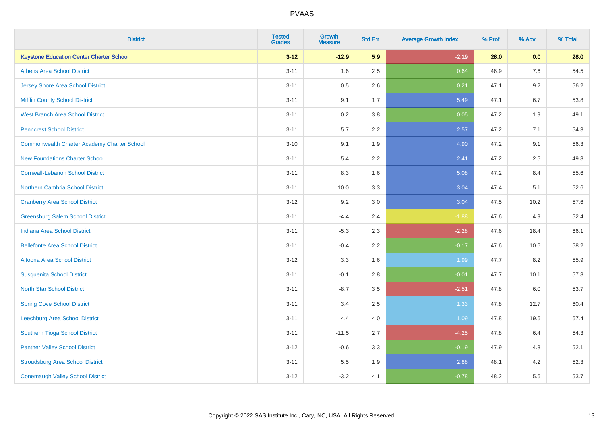| <b>District</b>                                 | <b>Tested</b><br><b>Grades</b> | <b>Growth</b><br><b>Measure</b> | <b>Std Err</b> | <b>Average Growth Index</b> | % Prof | % Adv | % Total |
|-------------------------------------------------|--------------------------------|---------------------------------|----------------|-----------------------------|--------|-------|---------|
| <b>Keystone Education Center Charter School</b> | $3 - 12$                       | $-12.9$                         | 5.9            | $-2.19$                     | 28.0   | 0.0   | 28.0    |
| <b>Athens Area School District</b>              | $3 - 11$                       | 1.6                             | 2.5            | 0.64                        | 46.9   | 7.6   | 54.5    |
| <b>Jersey Shore Area School District</b>        | $3 - 11$                       | 0.5                             | 2.6            | 0.21                        | 47.1   | 9.2   | 56.2    |
| Mifflin County School District                  | $3 - 11$                       | 9.1                             | 1.7            | 5.49                        | 47.1   | 6.7   | 53.8    |
| <b>West Branch Area School District</b>         | $3 - 11$                       | 0.2                             | 3.8            | 0.05                        | 47.2   | 1.9   | 49.1    |
| <b>Penncrest School District</b>                | $3 - 11$                       | 5.7                             | 2.2            | 2.57                        | 47.2   | 7.1   | 54.3    |
| Commonwealth Charter Academy Charter School     | $3 - 10$                       | 9.1                             | 1.9            | 4.90                        | 47.2   | 9.1   | 56.3    |
| <b>New Foundations Charter School</b>           | $3 - 11$                       | 5.4                             | 2.2            | 2.41                        | 47.2   | 2.5   | 49.8    |
| <b>Cornwall-Lebanon School District</b>         | $3 - 11$                       | 8.3                             | 1.6            | 5.08                        | 47.2   | 8.4   | 55.6    |
| <b>Northern Cambria School District</b>         | $3 - 11$                       | 10.0                            | 3.3            | 3.04                        | 47.4   | 5.1   | 52.6    |
| <b>Cranberry Area School District</b>           | $3 - 12$                       | 9.2                             | 3.0            | 3.04                        | 47.5   | 10.2  | 57.6    |
| <b>Greensburg Salem School District</b>         | $3 - 11$                       | $-4.4$                          | 2.4            | $-1.88$                     | 47.6   | 4.9   | 52.4    |
| <b>Indiana Area School District</b>             | $3 - 11$                       | $-5.3$                          | 2.3            | $-2.28$                     | 47.6   | 18.4  | 66.1    |
| <b>Bellefonte Area School District</b>          | $3 - 11$                       | $-0.4$                          | 2.2            | $-0.17$                     | 47.6   | 10.6  | 58.2    |
| Altoona Area School District                    | $3 - 12$                       | 3.3                             | 1.6            | 1.99                        | 47.7   | 8.2   | 55.9    |
| <b>Susquenita School District</b>               | $3 - 11$                       | $-0.1$                          | 2.8            | $-0.01$                     | 47.7   | 10.1  | 57.8    |
| <b>North Star School District</b>               | $3 - 11$                       | $-8.7$                          | 3.5            | $-2.51$                     | 47.8   | 6.0   | 53.7    |
| <b>Spring Cove School District</b>              | $3 - 11$                       | 3.4                             | 2.5            | 1.33                        | 47.8   | 12.7  | 60.4    |
| Leechburg Area School District                  | $3 - 11$                       | 4.4                             | 4.0            | 1.09                        | 47.8   | 19.6  | 67.4    |
| Southern Tioga School District                  | $3 - 11$                       | $-11.5$                         | 2.7            | $-4.25$                     | 47.8   | 6.4   | 54.3    |
| <b>Panther Valley School District</b>           | $3 - 12$                       | $-0.6$                          | 3.3            | $-0.19$                     | 47.9   | 4.3   | 52.1    |
| <b>Stroudsburg Area School District</b>         | $3 - 11$                       | $5.5\,$                         | 1.9            | 2.88                        | 48.1   | 4.2   | 52.3    |
| <b>Conemaugh Valley School District</b>         | $3 - 12$                       | $-3.2$                          | 4.1            | $-0.78$                     | 48.2   | 5.6   | 53.7    |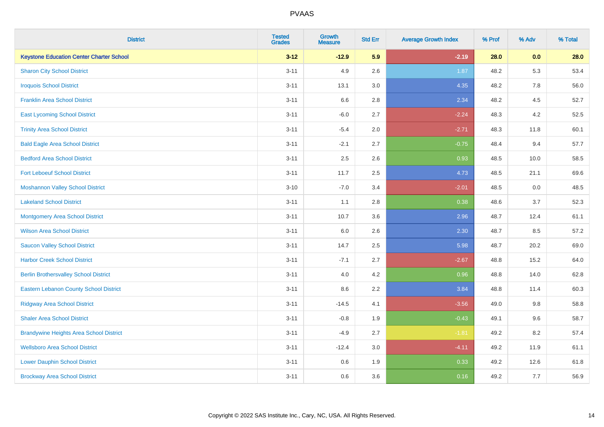| <b>District</b>                                 | <b>Tested</b><br><b>Grades</b> | <b>Growth</b><br><b>Measure</b> | <b>Std Err</b> | <b>Average Growth Index</b> | % Prof | % Adv | % Total |
|-------------------------------------------------|--------------------------------|---------------------------------|----------------|-----------------------------|--------|-------|---------|
| <b>Keystone Education Center Charter School</b> | $3 - 12$                       | $-12.9$                         | 5.9            | $-2.19$                     | 28.0   | 0.0   | 28.0    |
| <b>Sharon City School District</b>              | $3 - 11$                       | 4.9                             | 2.6            | 1.87                        | 48.2   | 5.3   | 53.4    |
| <b>Iroquois School District</b>                 | $3 - 11$                       | 13.1                            | 3.0            | 4.35                        | 48.2   | 7.8   | 56.0    |
| <b>Franklin Area School District</b>            | $3 - 11$                       | 6.6                             | 2.8            | 2.34                        | 48.2   | 4.5   | 52.7    |
| <b>East Lycoming School District</b>            | $3 - 11$                       | $-6.0$                          | 2.7            | $-2.24$                     | 48.3   | 4.2   | 52.5    |
| <b>Trinity Area School District</b>             | $3 - 11$                       | $-5.4$                          | 2.0            | $-2.71$                     | 48.3   | 11.8  | 60.1    |
| <b>Bald Eagle Area School District</b>          | $3 - 11$                       | $-2.1$                          | 2.7            | $-0.75$                     | 48.4   | 9.4   | 57.7    |
| <b>Bedford Area School District</b>             | $3 - 11$                       | 2.5                             | 2.6            | 0.93                        | 48.5   | 10.0  | 58.5    |
| <b>Fort Leboeuf School District</b>             | $3 - 11$                       | 11.7                            | 2.5            | 4.73                        | 48.5   | 21.1  | 69.6    |
| <b>Moshannon Valley School District</b>         | $3 - 10$                       | $-7.0$                          | 3.4            | $-2.01$                     | 48.5   | 0.0   | 48.5    |
| <b>Lakeland School District</b>                 | $3 - 11$                       | 1.1                             | 2.8            | 0.38                        | 48.6   | 3.7   | 52.3    |
| <b>Montgomery Area School District</b>          | $3 - 11$                       | 10.7                            | 3.6            | 2.96                        | 48.7   | 12.4  | 61.1    |
| <b>Wilson Area School District</b>              | $3 - 11$                       | 6.0                             | 2.6            | 2.30                        | 48.7   | 8.5   | 57.2    |
| <b>Saucon Valley School District</b>            | $3 - 11$                       | 14.7                            | 2.5            | 5.98                        | 48.7   | 20.2  | 69.0    |
| <b>Harbor Creek School District</b>             | $3 - 11$                       | $-7.1$                          | 2.7            | $-2.67$                     | 48.8   | 15.2  | 64.0    |
| <b>Berlin Brothersvalley School District</b>    | $3 - 11$                       | 4.0                             | 4.2            | 0.96                        | 48.8   | 14.0  | 62.8    |
| <b>Eastern Lebanon County School District</b>   | $3 - 11$                       | 8.6                             | 2.2            | 3.84                        | 48.8   | 11.4  | 60.3    |
| <b>Ridgway Area School District</b>             | $3 - 11$                       | $-14.5$                         | 4.1            | $-3.56$                     | 49.0   | 9.8   | 58.8    |
| <b>Shaler Area School District</b>              | $3 - 11$                       | $-0.8$                          | 1.9            | $-0.43$                     | 49.1   | 9.6   | 58.7    |
| <b>Brandywine Heights Area School District</b>  | $3 - 11$                       | $-4.9$                          | 2.7            | $-1.81$                     | 49.2   | 8.2   | 57.4    |
| <b>Wellsboro Area School District</b>           | $3 - 11$                       | $-12.4$                         | 3.0            | $-4.11$                     | 49.2   | 11.9  | 61.1    |
| <b>Lower Dauphin School District</b>            | $3 - 11$                       | 0.6                             | 1.9            | 0.33                        | 49.2   | 12.6  | 61.8    |
| <b>Brockway Area School District</b>            | $3 - 11$                       | 0.6                             | 3.6            | 0.16                        | 49.2   | 7.7   | 56.9    |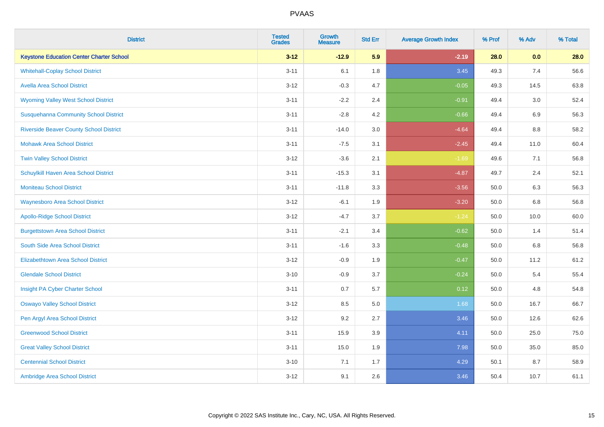| <b>District</b>                                 | <b>Tested</b><br><b>Grades</b> | <b>Growth</b><br><b>Measure</b> | <b>Std Err</b> | <b>Average Growth Index</b> | % Prof | % Adv | % Total |
|-------------------------------------------------|--------------------------------|---------------------------------|----------------|-----------------------------|--------|-------|---------|
| <b>Keystone Education Center Charter School</b> | $3 - 12$                       | $-12.9$                         | 5.9            | $-2.19$                     | 28.0   | 0.0   | 28.0    |
| <b>Whitehall-Coplay School District</b>         | $3 - 11$                       | 6.1                             | 1.8            | 3.45                        | 49.3   | 7.4   | 56.6    |
| <b>Avella Area School District</b>              | $3 - 12$                       | $-0.3$                          | 4.7            | $-0.05$                     | 49.3   | 14.5  | 63.8    |
| <b>Wyoming Valley West School District</b>      | $3 - 11$                       | $-2.2$                          | 2.4            | $-0.91$                     | 49.4   | 3.0   | 52.4    |
| <b>Susquehanna Community School District</b>    | $3 - 11$                       | $-2.8$                          | 4.2            | $-0.66$                     | 49.4   | 6.9   | 56.3    |
| <b>Riverside Beaver County School District</b>  | $3 - 11$                       | $-14.0$                         | 3.0            | $-4.64$                     | 49.4   | 8.8   | 58.2    |
| <b>Mohawk Area School District</b>              | $3 - 11$                       | $-7.5$                          | 3.1            | $-2.45$                     | 49.4   | 11.0  | 60.4    |
| <b>Twin Valley School District</b>              | $3 - 12$                       | $-3.6$                          | 2.1            | $-1.69$                     | 49.6   | 7.1   | 56.8    |
| Schuylkill Haven Area School District           | $3 - 11$                       | $-15.3$                         | 3.1            | $-4.87$                     | 49.7   | 2.4   | 52.1    |
| <b>Moniteau School District</b>                 | $3 - 11$                       | $-11.8$                         | 3.3            | $-3.56$                     | 50.0   | 6.3   | 56.3    |
| <b>Waynesboro Area School District</b>          | $3 - 12$                       | $-6.1$                          | 1.9            | $-3.20$                     | 50.0   | 6.8   | 56.8    |
| <b>Apollo-Ridge School District</b>             | $3 - 12$                       | $-4.7$                          | 3.7            | $-1.24$                     | 50.0   | 10.0  | 60.0    |
| <b>Burgettstown Area School District</b>        | $3 - 11$                       | $-2.1$                          | 3.4            | $-0.62$                     | 50.0   | 1.4   | 51.4    |
| South Side Area School District                 | $3 - 11$                       | $-1.6$                          | 3.3            | $-0.48$                     | 50.0   | 6.8   | 56.8    |
| <b>Elizabethtown Area School District</b>       | $3 - 12$                       | $-0.9$                          | 1.9            | $-0.47$                     | 50.0   | 11.2  | 61.2    |
| <b>Glendale School District</b>                 | $3 - 10$                       | $-0.9$                          | 3.7            | $-0.24$                     | 50.0   | 5.4   | 55.4    |
| Insight PA Cyber Charter School                 | $3 - 11$                       | 0.7                             | 5.7            | 0.12                        | 50.0   | 4.8   | 54.8    |
| <b>Oswayo Valley School District</b>            | $3 - 12$                       | 8.5                             | 5.0            | 1.68                        | 50.0   | 16.7  | 66.7    |
| Pen Argyl Area School District                  | $3 - 12$                       | 9.2                             | 2.7            | 3.46                        | 50.0   | 12.6  | 62.6    |
| <b>Greenwood School District</b>                | $3 - 11$                       | 15.9                            | 3.9            | 4.11                        | 50.0   | 25.0  | 75.0    |
| <b>Great Valley School District</b>             | $3 - 11$                       | 15.0                            | 1.9            | 7.98                        | 50.0   | 35.0  | 85.0    |
| <b>Centennial School District</b>               | $3 - 10$                       | 7.1                             | 1.7            | 4.29                        | 50.1   | 8.7   | 58.9    |
| Ambridge Area School District                   | $3 - 12$                       | 9.1                             | 2.6            | 3.46                        | 50.4   | 10.7  | 61.1    |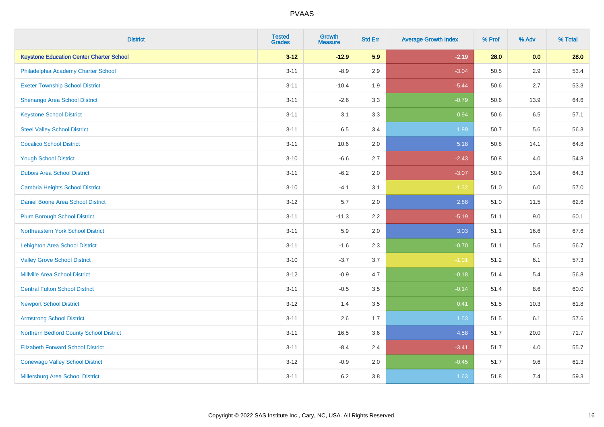| <b>District</b>                                 | <b>Tested</b><br><b>Grades</b> | <b>Growth</b><br><b>Measure</b> | <b>Std Err</b> | <b>Average Growth Index</b> | % Prof | % Adv   | % Total |
|-------------------------------------------------|--------------------------------|---------------------------------|----------------|-----------------------------|--------|---------|---------|
| <b>Keystone Education Center Charter School</b> | $3 - 12$                       | $-12.9$                         | 5.9            | $-2.19$                     | 28.0   | 0.0     | 28.0    |
| Philadelphia Academy Charter School             | $3 - 11$                       | $-8.9$                          | 2.9            | $-3.04$                     | 50.5   | $2.9\,$ | 53.4    |
| <b>Exeter Township School District</b>          | $3 - 11$                       | $-10.4$                         | 1.9            | $-5.44$                     | 50.6   | 2.7     | 53.3    |
| Shenango Area School District                   | $3 - 11$                       | $-2.6$                          | 3.3            | $-0.79$                     | 50.6   | 13.9    | 64.6    |
| <b>Keystone School District</b>                 | $3 - 11$                       | 3.1                             | 3.3            | 0.94                        | 50.6   | 6.5     | 57.1    |
| <b>Steel Valley School District</b>             | $3 - 11$                       | 6.5                             | 3.4            | 1.89                        | 50.7   | 5.6     | 56.3    |
| <b>Cocalico School District</b>                 | $3 - 11$                       | 10.6                            | 2.0            | 5.18                        | 50.8   | 14.1    | 64.8    |
| <b>Yough School District</b>                    | $3 - 10$                       | $-6.6$                          | 2.7            | $-2.43$                     | 50.8   | 4.0     | 54.8    |
| <b>Dubois Area School District</b>              | $3 - 11$                       | $-6.2$                          | 2.0            | $-3.07$                     | 50.9   | 13.4    | 64.3    |
| <b>Cambria Heights School District</b>          | $3 - 10$                       | $-4.1$                          | 3.1            | $-1.32$                     | 51.0   | 6.0     | 57.0    |
| Daniel Boone Area School District               | $3 - 12$                       | 5.7                             | 2.0            | 2.88                        | 51.0   | 11.5    | 62.6    |
| <b>Plum Borough School District</b>             | $3 - 11$                       | $-11.3$                         | 2.2            | $-5.19$                     | 51.1   | 9.0     | 60.1    |
| Northeastern York School District               | $3 - 11$                       | 5.9                             | 2.0            | 3.03                        | 51.1   | 16.6    | 67.6    |
| <b>Lehighton Area School District</b>           | $3 - 11$                       | $-1.6$                          | 2.3            | $-0.70$                     | 51.1   | 5.6     | 56.7    |
| <b>Valley Grove School District</b>             | $3 - 10$                       | $-3.7$                          | 3.7            | $-1.01$                     | 51.2   | 6.1     | 57.3    |
| <b>Millville Area School District</b>           | $3 - 12$                       | $-0.9$                          | 4.7            | $-0.18$                     | 51.4   | 5.4     | 56.8    |
| <b>Central Fulton School District</b>           | $3 - 11$                       | $-0.5$                          | 3.5            | $-0.14$                     | 51.4   | $8.6\,$ | 60.0    |
| <b>Newport School District</b>                  | $3 - 12$                       | 1.4                             | 3.5            | 0.41                        | 51.5   | 10.3    | 61.8    |
| <b>Armstrong School District</b>                | $3 - 11$                       | 2.6                             | 1.7            | 1.53                        | 51.5   | 6.1     | 57.6    |
| Northern Bedford County School District         | $3 - 11$                       | 16.5                            | 3.6            | 4.58                        | 51.7   | 20.0    | 71.7    |
| <b>Elizabeth Forward School District</b>        | $3 - 11$                       | $-8.4$                          | 2.4            | $-3.41$                     | 51.7   | 4.0     | 55.7    |
| <b>Conewago Valley School District</b>          | $3 - 12$                       | $-0.9$                          | 2.0            | $-0.45$                     | 51.7   | 9.6     | 61.3    |
| Millersburg Area School District                | $3 - 11$                       | 6.2                             | 3.8            | 1.63                        | 51.8   | 7.4     | 59.3    |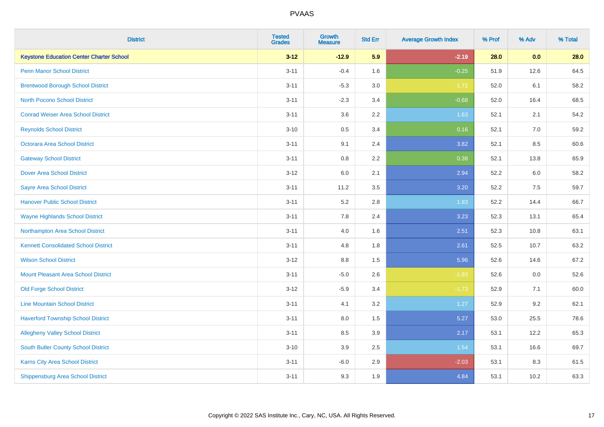| <b>District</b>                                 | <b>Tested</b><br><b>Grades</b> | <b>Growth</b><br><b>Measure</b> | <b>Std Err</b> | <b>Average Growth Index</b> | % Prof | % Adv | % Total |
|-------------------------------------------------|--------------------------------|---------------------------------|----------------|-----------------------------|--------|-------|---------|
| <b>Keystone Education Center Charter School</b> | $3 - 12$                       | $-12.9$                         | 5.9            | $-2.19$                     | 28.0   | 0.0   | 28.0    |
| Penn Manor School District                      | $3 - 11$                       | $-0.4$                          | 1.6            | $-0.25$                     | 51.9   | 12.6  | 64.5    |
| <b>Brentwood Borough School District</b>        | $3 - 11$                       | $-5.3$                          | 3.0            | $-1.72$                     | 52.0   | 6.1   | 58.2    |
| <b>North Pocono School District</b>             | $3 - 11$                       | $-2.3$                          | 3.4            | $-0.68$                     | 52.0   | 16.4  | 68.5    |
| <b>Conrad Weiser Area School District</b>       | $3 - 11$                       | 3.6                             | 2.2            | 1.63                        | 52.1   | 2.1   | 54.2    |
| <b>Reynolds School District</b>                 | $3 - 10$                       | 0.5                             | 3.4            | 0.16                        | 52.1   | 7.0   | 59.2    |
| Octorara Area School District                   | $3 - 11$                       | 9.1                             | 2.4            | 3.82                        | 52.1   | 8.5   | 60.6    |
| <b>Gateway School District</b>                  | $3 - 11$                       | $0.8\,$                         | 2.2            | 0.38                        | 52.1   | 13.8  | 65.9    |
| <b>Dover Area School District</b>               | $3 - 12$                       | 6.0                             | 2.1            | 2.94                        | 52.2   | 6.0   | 58.2    |
| <b>Sayre Area School District</b>               | $3 - 11$                       | 11.2                            | 3.5            | 3.20                        | 52.2   | 7.5   | 59.7    |
| <b>Hanover Public School District</b>           | $3 - 11$                       | 5.2                             | 2.8            | 1.83                        | 52.2   | 14.4  | 66.7    |
| <b>Wayne Highlands School District</b>          | $3 - 11$                       | 7.8                             | 2.4            | 3.23                        | 52.3   | 13.1  | 65.4    |
| Northampton Area School District                | $3 - 11$                       | $4.0\,$                         | 1.6            | 2.51                        | 52.3   | 10.8  | 63.1    |
| <b>Kennett Consolidated School District</b>     | $3 - 11$                       | 4.8                             | 1.8            | 2.61                        | 52.5   | 10.7  | 63.2    |
| <b>Wilson School District</b>                   | $3 - 12$                       | 8.8                             | 1.5            | 5.96                        | 52.6   | 14.6  | 67.2    |
| <b>Mount Pleasant Area School District</b>      | $3 - 11$                       | $-5.0$                          | 2.6            | $-1.93$                     | 52.6   | 0.0   | 52.6    |
| <b>Old Forge School District</b>                | $3 - 12$                       | $-5.9$                          | 3.4            | $-1.73$                     | 52.9   | 7.1   | 60.0    |
| <b>Line Mountain School District</b>            | $3 - 11$                       | 4.1                             | 3.2            | 1.27                        | 52.9   | 9.2   | 62.1    |
| <b>Haverford Township School District</b>       | $3 - 11$                       | $8.0\,$                         | 1.5            | 5.27                        | 53.0   | 25.5  | 78.6    |
| <b>Allegheny Valley School District</b>         | $3 - 11$                       | 8.5                             | 3.9            | 2.17                        | 53.1   | 12.2  | 65.3    |
| South Butler County School District             | $3 - 10$                       | 3.9                             | 2.5            | 1.54                        | 53.1   | 16.6  | 69.7    |
| <b>Karns City Area School District</b>          | $3 - 11$                       | $-6.0$                          | 2.9            | $-2.03$                     | 53.1   | 8.3   | 61.5    |
| <b>Shippensburg Area School District</b>        | $3 - 11$                       | 9.3                             | 1.9            | 4.84                        | 53.1   | 10.2  | 63.3    |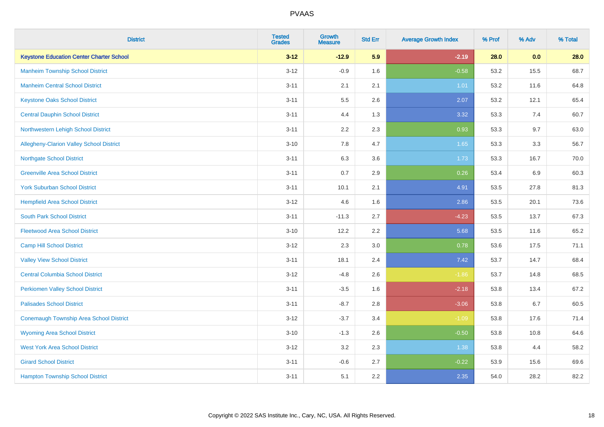| <b>District</b>                                 | <b>Tested</b><br><b>Grades</b> | <b>Growth</b><br><b>Measure</b> | <b>Std Err</b> | <b>Average Growth Index</b> | % Prof | % Adv | % Total |
|-------------------------------------------------|--------------------------------|---------------------------------|----------------|-----------------------------|--------|-------|---------|
| <b>Keystone Education Center Charter School</b> | $3 - 12$                       | $-12.9$                         | 5.9            | $-2.19$                     | 28.0   | 0.0   | 28.0    |
| <b>Manheim Township School District</b>         | $3 - 12$                       | $-0.9$                          | 1.6            | $-0.58$                     | 53.2   | 15.5  | 68.7    |
| <b>Manheim Central School District</b>          | $3 - 11$                       | 2.1                             | 2.1            | 1.01                        | 53.2   | 11.6  | 64.8    |
| <b>Keystone Oaks School District</b>            | $3 - 11$                       | $5.5\,$                         | 2.6            | 2.07                        | 53.2   | 12.1  | 65.4    |
| <b>Central Dauphin School District</b>          | $3 - 11$                       | 4.4                             | 1.3            | 3.32                        | 53.3   | 7.4   | 60.7    |
| Northwestern Lehigh School District             | $3 - 11$                       | 2.2                             | 2.3            | 0.93                        | 53.3   | 9.7   | 63.0    |
| Allegheny-Clarion Valley School District        | $3 - 10$                       | 7.8                             | 4.7            | 1.65                        | 53.3   | 3.3   | 56.7    |
| <b>Northgate School District</b>                | $3 - 11$                       | 6.3                             | 3.6            | 1.73                        | 53.3   | 16.7  | 70.0    |
| <b>Greenville Area School District</b>          | $3 - 11$                       | 0.7                             | 2.9            | 0.26                        | 53.4   | 6.9   | 60.3    |
| <b>York Suburban School District</b>            | $3 - 11$                       | 10.1                            | 2.1            | 4.91                        | 53.5   | 27.8  | 81.3    |
| <b>Hempfield Area School District</b>           | $3 - 12$                       | 4.6                             | 1.6            | 2.86                        | 53.5   | 20.1  | 73.6    |
| <b>South Park School District</b>               | $3 - 11$                       | $-11.3$                         | 2.7            | $-4.23$                     | 53.5   | 13.7  | 67.3    |
| <b>Fleetwood Area School District</b>           | $3 - 10$                       | 12.2                            | 2.2            | 5.68                        | 53.5   | 11.6  | 65.2    |
| <b>Camp Hill School District</b>                | $3 - 12$                       | 2.3                             | 3.0            | 0.78                        | 53.6   | 17.5  | 71.1    |
| <b>Valley View School District</b>              | $3 - 11$                       | 18.1                            | 2.4            | 7.42                        | 53.7   | 14.7  | 68.4    |
| <b>Central Columbia School District</b>         | $3 - 12$                       | $-4.8$                          | 2.6            | $-1.86$                     | 53.7   | 14.8  | 68.5    |
| <b>Perkiomen Valley School District</b>         | $3 - 11$                       | $-3.5$                          | 1.6            | $-2.18$                     | 53.8   | 13.4  | 67.2    |
| <b>Palisades School District</b>                | $3 - 11$                       | $-8.7$                          | 2.8            | $-3.06$                     | 53.8   | 6.7   | 60.5    |
| <b>Conemaugh Township Area School District</b>  | $3 - 12$                       | $-3.7$                          | 3.4            | $-1.09$                     | 53.8   | 17.6  | 71.4    |
| <b>Wyoming Area School District</b>             | $3 - 10$                       | $-1.3$                          | 2.6            | $-0.50$                     | 53.8   | 10.8  | 64.6    |
| <b>West York Area School District</b>           | $3 - 12$                       | 3.2                             | 2.3            | 1.38                        | 53.8   | 4.4   | 58.2    |
| <b>Girard School District</b>                   | $3 - 11$                       | $-0.6$                          | 2.7            | $-0.22$                     | 53.9   | 15.6  | 69.6    |
| <b>Hampton Township School District</b>         | $3 - 11$                       | 5.1                             | 2.2            | 2.35                        | 54.0   | 28.2  | 82.2    |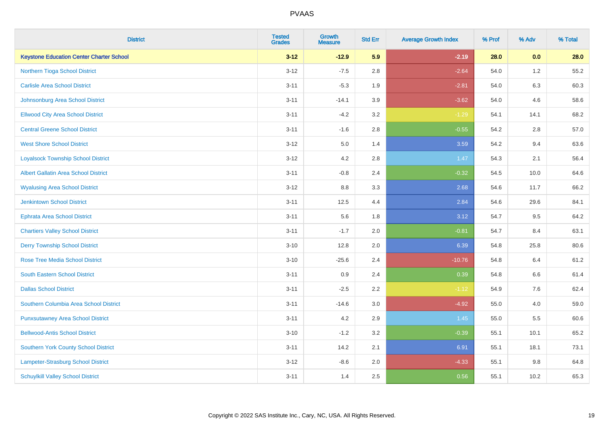| <b>District</b>                                 | <b>Tested</b><br><b>Grades</b> | <b>Growth</b><br><b>Measure</b> | <b>Std Err</b> | <b>Average Growth Index</b> | % Prof | % Adv   | % Total |
|-------------------------------------------------|--------------------------------|---------------------------------|----------------|-----------------------------|--------|---------|---------|
| <b>Keystone Education Center Charter School</b> | $3 - 12$                       | $-12.9$                         | 5.9            | $-2.19$                     | 28.0   | 0.0     | 28.0    |
| Northern Tioga School District                  | $3 - 12$                       | $-7.5$                          | 2.8            | $-2.64$                     | 54.0   | $1.2\,$ | 55.2    |
| <b>Carlisle Area School District</b>            | $3 - 11$                       | $-5.3$                          | 1.9            | $-2.81$                     | 54.0   | 6.3     | 60.3    |
| Johnsonburg Area School District                | $3 - 11$                       | $-14.1$                         | 3.9            | $-3.62$                     | 54.0   | 4.6     | 58.6    |
| <b>Ellwood City Area School District</b>        | $3 - 11$                       | $-4.2$                          | 3.2            | $-1.29$                     | 54.1   | 14.1    | 68.2    |
| <b>Central Greene School District</b>           | $3 - 11$                       | $-1.6$                          | 2.8            | $-0.55$                     | 54.2   | 2.8     | 57.0    |
| <b>West Shore School District</b>               | $3 - 12$                       | 5.0                             | 1.4            | 3.59                        | 54.2   | 9.4     | 63.6    |
| <b>Loyalsock Township School District</b>       | $3 - 12$                       | 4.2                             | 2.8            | 1.47                        | 54.3   | 2.1     | 56.4    |
| <b>Albert Gallatin Area School District</b>     | $3 - 11$                       | $-0.8$                          | 2.4            | $-0.32$                     | 54.5   | 10.0    | 64.6    |
| <b>Wyalusing Area School District</b>           | $3 - 12$                       | 8.8                             | 3.3            | 2.68                        | 54.6   | 11.7    | 66.2    |
| Jenkintown School District                      | $3 - 11$                       | 12.5                            | 4.4            | 2.84                        | 54.6   | 29.6    | 84.1    |
| <b>Ephrata Area School District</b>             | $3 - 11$                       | 5.6                             | 1.8            | 3.12                        | 54.7   | 9.5     | 64.2    |
| <b>Chartiers Valley School District</b>         | $3 - 11$                       | $-1.7$                          | 2.0            | $-0.81$                     | 54.7   | 8.4     | 63.1    |
| <b>Derry Township School District</b>           | $3 - 10$                       | 12.8                            | 2.0            | 6.39                        | 54.8   | 25.8    | 80.6    |
| <b>Rose Tree Media School District</b>          | $3 - 10$                       | $-25.6$                         | 2.4            | $-10.76$                    | 54.8   | 6.4     | 61.2    |
| <b>South Eastern School District</b>            | $3 - 11$                       | 0.9                             | 2.4            | 0.39                        | 54.8   | 6.6     | 61.4    |
| <b>Dallas School District</b>                   | $3 - 11$                       | $-2.5$                          | 2.2            | $-1.12$                     | 54.9   | 7.6     | 62.4    |
| Southern Columbia Area School District          | $3 - 11$                       | $-14.6$                         | 3.0            | $-4.92$                     | 55.0   | 4.0     | 59.0    |
| <b>Punxsutawney Area School District</b>        | $3 - 11$                       | 4.2                             | 2.9            | 1.45                        | 55.0   | 5.5     | 60.6    |
| <b>Bellwood-Antis School District</b>           | $3 - 10$                       | $-1.2$                          | 3.2            | $-0.39$                     | 55.1   | 10.1    | 65.2    |
| <b>Southern York County School District</b>     | $3 - 11$                       | 14.2                            | 2.1            | 6.91                        | 55.1   | 18.1    | 73.1    |
| Lampeter-Strasburg School District              | $3 - 12$                       | $-8.6$                          | 2.0            | $-4.33$                     | 55.1   | $9.8\,$ | 64.8    |
| <b>Schuylkill Valley School District</b>        | $3 - 11$                       | 1.4                             | 2.5            | 0.56                        | 55.1   | 10.2    | 65.3    |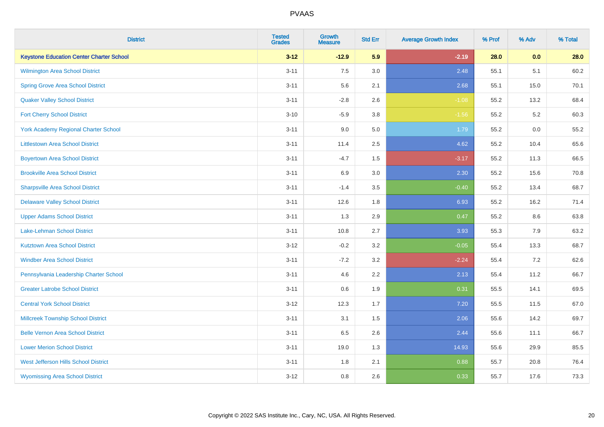| <b>District</b>                                 | <b>Tested</b><br><b>Grades</b> | <b>Growth</b><br><b>Measure</b> | <b>Std Err</b> | <b>Average Growth Index</b> | % Prof | % Adv | % Total |
|-------------------------------------------------|--------------------------------|---------------------------------|----------------|-----------------------------|--------|-------|---------|
| <b>Keystone Education Center Charter School</b> | $3 - 12$                       | $-12.9$                         | 5.9            | $-2.19$                     | 28.0   | 0.0   | 28.0    |
| <b>Wilmington Area School District</b>          | $3 - 11$                       | 7.5                             | $3.0\,$        | 2.48                        | 55.1   | 5.1   | 60.2    |
| <b>Spring Grove Area School District</b>        | $3 - 11$                       | 5.6                             | 2.1            | 2.68                        | 55.1   | 15.0  | 70.1    |
| <b>Quaker Valley School District</b>            | $3 - 11$                       | $-2.8$                          | 2.6            | $-1.08$                     | 55.2   | 13.2  | 68.4    |
| <b>Fort Cherry School District</b>              | $3 - 10$                       | $-5.9$                          | 3.8            | $-1.56$                     | 55.2   | 5.2   | 60.3    |
| <b>York Academy Regional Charter School</b>     | $3 - 11$                       | 9.0                             | 5.0            | 1.79                        | 55.2   | 0.0   | 55.2    |
| <b>Littlestown Area School District</b>         | $3 - 11$                       | 11.4                            | 2.5            | 4.62                        | 55.2   | 10.4  | 65.6    |
| <b>Boyertown Area School District</b>           | $3 - 11$                       | $-4.7$                          | 1.5            | $-3.17$                     | 55.2   | 11.3  | 66.5    |
| <b>Brookville Area School District</b>          | $3 - 11$                       | 6.9                             | 3.0            | 2.30                        | 55.2   | 15.6  | 70.8    |
| <b>Sharpsville Area School District</b>         | $3 - 11$                       | $-1.4$                          | 3.5            | $-0.40$                     | 55.2   | 13.4  | 68.7    |
| <b>Delaware Valley School District</b>          | $3 - 11$                       | 12.6                            | 1.8            | 6.93                        | 55.2   | 16.2  | 71.4    |
| <b>Upper Adams School District</b>              | $3 - 11$                       | 1.3                             | 2.9            | 0.47                        | 55.2   | 8.6   | 63.8    |
| Lake-Lehman School District                     | $3 - 11$                       | 10.8                            | 2.7            | 3.93                        | 55.3   | 7.9   | 63.2    |
| <b>Kutztown Area School District</b>            | $3 - 12$                       | $-0.2$                          | 3.2            | $-0.05$                     | 55.4   | 13.3  | 68.7    |
| <b>Windber Area School District</b>             | $3 - 11$                       | $-7.2$                          | 3.2            | $-2.24$                     | 55.4   | 7.2   | 62.6    |
| Pennsylvania Leadership Charter School          | $3 - 11$                       | 4.6                             | 2.2            | 2.13                        | 55.4   | 11.2  | 66.7    |
| <b>Greater Latrobe School District</b>          | $3 - 11$                       | 0.6                             | 1.9            | 0.31                        | 55.5   | 14.1  | 69.5    |
| <b>Central York School District</b>             | $3 - 12$                       | 12.3                            | 1.7            | 7.20                        | 55.5   | 11.5  | 67.0    |
| <b>Millcreek Township School District</b>       | $3 - 11$                       | 3.1                             | $1.5$          | 2.06                        | 55.6   | 14.2  | 69.7    |
| <b>Belle Vernon Area School District</b>        | $3 - 11$                       | 6.5                             | 2.6            | 2.44                        | 55.6   | 11.1  | 66.7    |
| <b>Lower Merion School District</b>             | $3 - 11$                       | 19.0                            | 1.3            | 14.93                       | 55.6   | 29.9  | 85.5    |
| West Jefferson Hills School District            | $3 - 11$                       | 1.8                             | 2.1            | 0.88                        | 55.7   | 20.8  | 76.4    |
| <b>Wyomissing Area School District</b>          | $3 - 12$                       | 0.8                             | 2.6            | 0.33                        | 55.7   | 17.6  | 73.3    |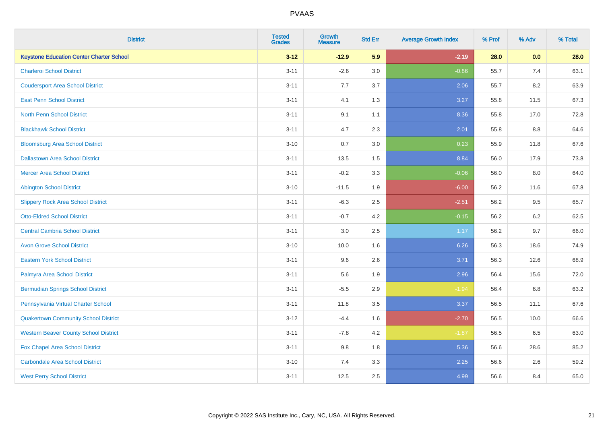| <b>District</b>                                 | <b>Tested</b><br><b>Grades</b> | <b>Growth</b><br><b>Measure</b> | <b>Std Err</b> | <b>Average Growth Index</b> | % Prof | % Adv   | % Total |
|-------------------------------------------------|--------------------------------|---------------------------------|----------------|-----------------------------|--------|---------|---------|
| <b>Keystone Education Center Charter School</b> | $3 - 12$                       | $-12.9$                         | 5.9            | $-2.19$                     | 28.0   | 0.0     | 28.0    |
| <b>Charleroi School District</b>                | $3 - 11$                       | $-2.6$                          | 3.0            | $-0.86$                     | 55.7   | 7.4     | 63.1    |
| <b>Coudersport Area School District</b>         | $3 - 11$                       | 7.7                             | 3.7            | 2.06                        | 55.7   | 8.2     | 63.9    |
| <b>East Penn School District</b>                | $3 - 11$                       | 4.1                             | 1.3            | 3.27                        | 55.8   | 11.5    | 67.3    |
| <b>North Penn School District</b>               | $3 - 11$                       | 9.1                             | 1.1            | 8.36                        | 55.8   | 17.0    | 72.8    |
| <b>Blackhawk School District</b>                | $3 - 11$                       | 4.7                             | 2.3            | 2.01                        | 55.8   | 8.8     | 64.6    |
| <b>Bloomsburg Area School District</b>          | $3 - 10$                       | 0.7                             | 3.0            | 0.23                        | 55.9   | 11.8    | 67.6    |
| <b>Dallastown Area School District</b>          | $3 - 11$                       | 13.5                            | 1.5            | 8.84                        | 56.0   | 17.9    | 73.8    |
| <b>Mercer Area School District</b>              | $3 - 11$                       | $-0.2$                          | 3.3            | $-0.06$                     | 56.0   | 8.0     | 64.0    |
| <b>Abington School District</b>                 | $3 - 10$                       | $-11.5$                         | 1.9            | $-6.00$                     | 56.2   | 11.6    | 67.8    |
| <b>Slippery Rock Area School District</b>       | $3 - 11$                       | $-6.3$                          | 2.5            | $-2.51$                     | 56.2   | 9.5     | 65.7    |
| <b>Otto-Eldred School District</b>              | $3 - 11$                       | $-0.7$                          | 4.2            | $-0.15$                     | 56.2   | 6.2     | 62.5    |
| <b>Central Cambria School District</b>          | $3 - 11$                       | 3.0                             | 2.5            | 1.17                        | 56.2   | 9.7     | 66.0    |
| <b>Avon Grove School District</b>               | $3 - 10$                       | 10.0                            | 1.6            | 6.26                        | 56.3   | 18.6    | 74.9    |
| <b>Eastern York School District</b>             | $3 - 11$                       | 9.6                             | 2.6            | 3.71                        | 56.3   | 12.6    | 68.9    |
| Palmyra Area School District                    | $3 - 11$                       | 5.6                             | 1.9            | 2.96                        | 56.4   | 15.6    | 72.0    |
| <b>Bermudian Springs School District</b>        | $3 - 11$                       | $-5.5$                          | 2.9            | $-1.94$                     | 56.4   | $6.8\,$ | 63.2    |
| Pennsylvania Virtual Charter School             | $3 - 11$                       | 11.8                            | 3.5            | 3.37                        | 56.5   | 11.1    | 67.6    |
| <b>Quakertown Community School District</b>     | $3 - 12$                       | $-4.4$                          | 1.6            | $-2.70$                     | 56.5   | 10.0    | 66.6    |
| <b>Western Beaver County School District</b>    | $3 - 11$                       | $-7.8$                          | $4.2\,$        | $-1.87$                     | 56.5   | 6.5     | 63.0    |
| Fox Chapel Area School District                 | $3 - 11$                       | 9.8                             | 1.8            | 5.36                        | 56.6   | 28.6    | 85.2    |
| <b>Carbondale Area School District</b>          | $3 - 10$                       | 7.4                             | 3.3            | 2.25                        | 56.6   | 2.6     | 59.2    |
| <b>West Perry School District</b>               | $3 - 11$                       | 12.5                            | 2.5            | 4.99                        | 56.6   | 8.4     | 65.0    |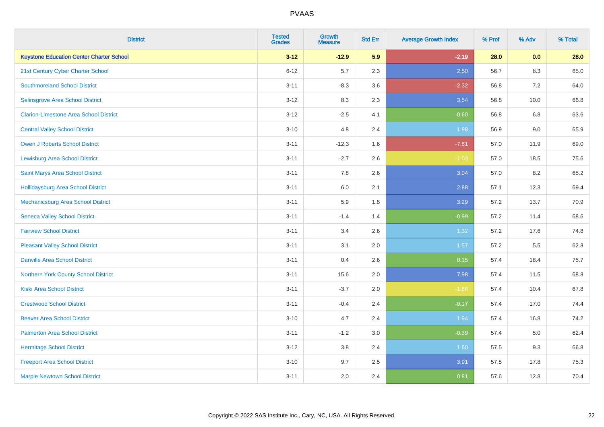| <b>District</b>                                 | <b>Tested</b><br><b>Grades</b> | <b>Growth</b><br><b>Measure</b> | <b>Std Err</b> | <b>Average Growth Index</b> | % Prof | % Adv   | % Total |
|-------------------------------------------------|--------------------------------|---------------------------------|----------------|-----------------------------|--------|---------|---------|
| <b>Keystone Education Center Charter School</b> | $3 - 12$                       | $-12.9$                         | 5.9            | $-2.19$                     | 28.0   | 0.0     | 28.0    |
| 21st Century Cyber Charter School               | $6 - 12$                       | 5.7                             | 2.3            | 2.50                        | 56.7   | $8.3\,$ | 65.0    |
| <b>Southmoreland School District</b>            | $3 - 11$                       | $-8.3$                          | 3.6            | $-2.32$                     | 56.8   | 7.2     | 64.0    |
| Selinsgrove Area School District                | $3 - 12$                       | 8.3                             | 2.3            | 3.54                        | 56.8   | 10.0    | 66.8    |
| <b>Clarion-Limestone Area School District</b>   | $3 - 12$                       | $-2.5$                          | 4.1            | $-0.60$                     | 56.8   | 6.8     | 63.6    |
| <b>Central Valley School District</b>           | $3 - 10$                       | 4.8                             | 2.4            | 1.98                        | 56.9   | 9.0     | 65.9    |
| Owen J Roberts School District                  | $3 - 11$                       | $-12.3$                         | 1.6            | $-7.61$                     | 57.0   | 11.9    | 69.0    |
| <b>Lewisburg Area School District</b>           | $3 - 11$                       | $-2.7$                          | 2.6            | $-1.03$                     | 57.0   | 18.5    | 75.6    |
| Saint Marys Area School District                | $3 - 11$                       | 7.8                             | 2.6            | 3.04                        | 57.0   | 8.2     | 65.2    |
| <b>Hollidaysburg Area School District</b>       | $3 - 11$                       | 6.0                             | 2.1            | 2.88                        | 57.1   | 12.3    | 69.4    |
| <b>Mechanicsburg Area School District</b>       | $3 - 11$                       | 5.9                             | 1.8            | 3.29                        | 57.2   | 13.7    | 70.9    |
| <b>Seneca Valley School District</b>            | $3 - 11$                       | $-1.4$                          | 1.4            | $-0.99$                     | 57.2   | 11.4    | 68.6    |
| <b>Fairview School District</b>                 | $3 - 11$                       | 3.4                             | 2.6            | 1.32                        | 57.2   | 17.6    | 74.8    |
| <b>Pleasant Valley School District</b>          | $3 - 11$                       | 3.1                             | 2.0            | 1.57                        | 57.2   | 5.5     | 62.8    |
| <b>Danville Area School District</b>            | $3 - 11$                       | 0.4                             | 2.6            | 0.15                        | 57.4   | 18.4    | 75.7    |
| <b>Northern York County School District</b>     | $3 - 11$                       | 15.6                            | 2.0            | 7.98                        | 57.4   | 11.5    | 68.8    |
| <b>Kiski Area School District</b>               | $3 - 11$                       | $-3.7$                          | 2.0            | $-1.86$                     | 57.4   | 10.4    | 67.8    |
| <b>Crestwood School District</b>                | $3 - 11$                       | $-0.4$                          | 2.4            | $-0.17$                     | 57.4   | 17.0    | 74.4    |
| <b>Beaver Area School District</b>              | $3 - 10$                       | 4.7                             | 2.4            | 1.94                        | 57.4   | 16.8    | 74.2    |
| <b>Palmerton Area School District</b>           | $3 - 11$                       | $-1.2$                          | 3.0            | $-0.39$                     | 57.4   | 5.0     | 62.4    |
| <b>Hermitage School District</b>                | $3 - 12$                       | 3.8                             | 2.4            | 1.60                        | 57.5   | 9.3     | 66.8    |
| <b>Freeport Area School District</b>            | $3 - 10$                       | 9.7                             | 2.5            | 3.91                        | 57.5   | 17.8    | 75.3    |
| <b>Marple Newtown School District</b>           | $3 - 11$                       | 2.0                             | 2.4            | 0.81                        | 57.6   | 12.8    | 70.4    |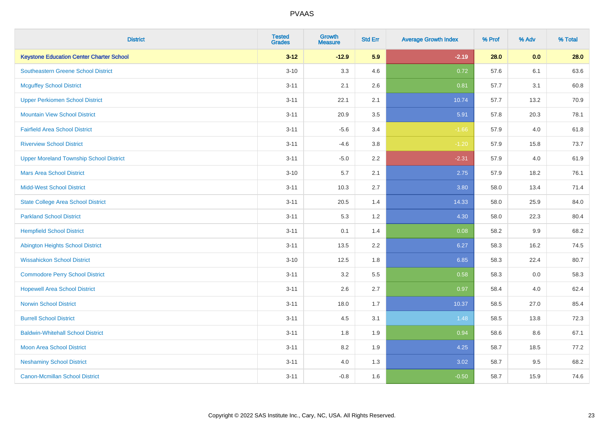| <b>District</b>                                 | <b>Tested</b><br><b>Grades</b> | <b>Growth</b><br><b>Measure</b> | <b>Std Err</b> | <b>Average Growth Index</b> | % Prof | % Adv | % Total |
|-------------------------------------------------|--------------------------------|---------------------------------|----------------|-----------------------------|--------|-------|---------|
| <b>Keystone Education Center Charter School</b> | $3 - 12$                       | $-12.9$                         | 5.9            | $-2.19$                     | 28.0   | 0.0   | 28.0    |
| <b>Southeastern Greene School District</b>      | $3 - 10$                       | 3.3                             | 4.6            | 0.72                        | 57.6   | 6.1   | 63.6    |
| <b>Mcguffey School District</b>                 | $3 - 11$                       | 2.1                             | 2.6            | 0.81                        | 57.7   | 3.1   | 60.8    |
| <b>Upper Perkiomen School District</b>          | $3 - 11$                       | 22.1                            | 2.1            | 10.74                       | 57.7   | 13.2  | 70.9    |
| <b>Mountain View School District</b>            | $3 - 11$                       | 20.9                            | 3.5            | 5.91                        | 57.8   | 20.3  | 78.1    |
| <b>Fairfield Area School District</b>           | $3 - 11$                       | $-5.6$                          | 3.4            | $-1.66$                     | 57.9   | 4.0   | 61.8    |
| <b>Riverview School District</b>                | $3 - 11$                       | $-4.6$                          | 3.8            | $-1.20$                     | 57.9   | 15.8  | 73.7    |
| <b>Upper Moreland Township School District</b>  | $3 - 11$                       | $-5.0$                          | 2.2            | $-2.31$                     | 57.9   | 4.0   | 61.9    |
| <b>Mars Area School District</b>                | $3 - 10$                       | 5.7                             | 2.1            | 2.75                        | 57.9   | 18.2  | 76.1    |
| <b>Midd-West School District</b>                | $3 - 11$                       | 10.3                            | 2.7            | 3.80                        | 58.0   | 13.4  | 71.4    |
| <b>State College Area School District</b>       | $3 - 11$                       | 20.5                            | 1.4            | 14.33                       | 58.0   | 25.9  | 84.0    |
| <b>Parkland School District</b>                 | $3 - 11$                       | 5.3                             | 1.2            | 4.30                        | 58.0   | 22.3  | 80.4    |
| <b>Hempfield School District</b>                | $3 - 11$                       | 0.1                             | 1.4            | 0.08                        | 58.2   | 9.9   | 68.2    |
| <b>Abington Heights School District</b>         | $3 - 11$                       | 13.5                            | 2.2            | 6.27                        | 58.3   | 16.2  | 74.5    |
| <b>Wissahickon School District</b>              | $3 - 10$                       | 12.5                            | 1.8            | 6.85                        | 58.3   | 22.4  | 80.7    |
| <b>Commodore Perry School District</b>          | $3 - 11$                       | 3.2                             | 5.5            | 0.58                        | 58.3   | 0.0   | 58.3    |
| <b>Hopewell Area School District</b>            | $3 - 11$                       | 2.6                             | 2.7            | 0.97                        | 58.4   | 4.0   | 62.4    |
| <b>Norwin School District</b>                   | $3 - 11$                       | 18.0                            | 1.7            | 10.37                       | 58.5   | 27.0  | 85.4    |
| <b>Burrell School District</b>                  | $3 - 11$                       | 4.5                             | 3.1            | 1.48                        | 58.5   | 13.8  | 72.3    |
| <b>Baldwin-Whitehall School District</b>        | $3 - 11$                       | 1.8                             | 1.9            | 0.94                        | 58.6   | 8.6   | 67.1    |
| Moon Area School District                       | $3 - 11$                       | 8.2                             | 1.9            | 4.25                        | 58.7   | 18.5  | 77.2    |
| <b>Neshaminy School District</b>                | $3 - 11$                       | 4.0                             | 1.3            | 3.02                        | 58.7   | 9.5   | 68.2    |
| <b>Canon-Mcmillan School District</b>           | $3 - 11$                       | $-0.8$                          | 1.6            | $-0.50$                     | 58.7   | 15.9  | 74.6    |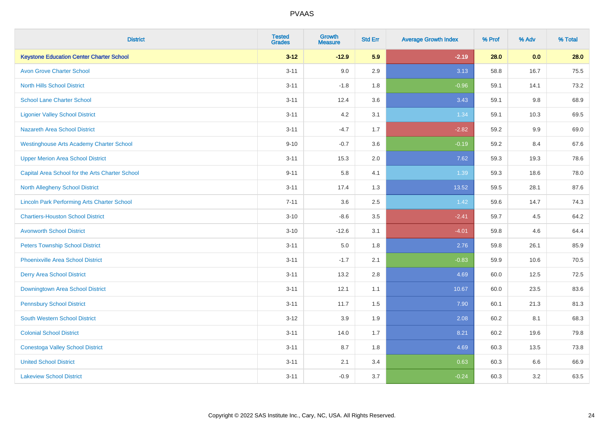| <b>District</b>                                    | <b>Tested</b><br><b>Grades</b> | <b>Growth</b><br><b>Measure</b> | <b>Std Err</b> | <b>Average Growth Index</b> | % Prof | % Adv   | % Total |
|----------------------------------------------------|--------------------------------|---------------------------------|----------------|-----------------------------|--------|---------|---------|
| <b>Keystone Education Center Charter School</b>    | $3 - 12$                       | $-12.9$                         | 5.9            | $-2.19$                     | 28.0   | 0.0     | 28.0    |
| <b>Avon Grove Charter School</b>                   | $3 - 11$                       | 9.0                             | 2.9            | 3.13                        | 58.8   | 16.7    | 75.5    |
| <b>North Hills School District</b>                 | $3 - 11$                       | $-1.8$                          | 1.8            | $-0.96$                     | 59.1   | 14.1    | 73.2    |
| <b>School Lane Charter School</b>                  | $3 - 11$                       | 12.4                            | 3.6            | 3.43                        | 59.1   | $9.8\,$ | 68.9    |
| <b>Ligonier Valley School District</b>             | $3 - 11$                       | 4.2                             | 3.1            | 1.34                        | 59.1   | 10.3    | 69.5    |
| <b>Nazareth Area School District</b>               | $3 - 11$                       | $-4.7$                          | 1.7            | $-2.82$                     | 59.2   | 9.9     | 69.0    |
| <b>Westinghouse Arts Academy Charter School</b>    | $9 - 10$                       | $-0.7$                          | 3.6            | $-0.19$                     | 59.2   | 8.4     | 67.6    |
| <b>Upper Merion Area School District</b>           | $3 - 11$                       | 15.3                            | 2.0            | 7.62                        | 59.3   | 19.3    | 78.6    |
| Capital Area School for the Arts Charter School    | $9 - 11$                       | 5.8                             | 4.1            | 1.39                        | 59.3   | 18.6    | 78.0    |
| <b>North Allegheny School District</b>             | $3 - 11$                       | 17.4                            | 1.3            | 13.52                       | 59.5   | 28.1    | 87.6    |
| <b>Lincoln Park Performing Arts Charter School</b> | $7 - 11$                       | 3.6                             | 2.5            | 1.42                        | 59.6   | 14.7    | 74.3    |
| <b>Chartiers-Houston School District</b>           | $3 - 10$                       | $-8.6$                          | 3.5            | $-2.41$                     | 59.7   | 4.5     | 64.2    |
| <b>Avonworth School District</b>                   | $3 - 10$                       | $-12.6$                         | 3.1            | $-4.01$                     | 59.8   | 4.6     | 64.4    |
| <b>Peters Township School District</b>             | $3 - 11$                       | $5.0\,$                         | 1.8            | 2.76                        | 59.8   | 26.1    | 85.9    |
| <b>Phoenixville Area School District</b>           | $3 - 11$                       | $-1.7$                          | 2.1            | $-0.83$                     | 59.9   | 10.6    | 70.5    |
| <b>Derry Area School District</b>                  | $3 - 11$                       | 13.2                            | 2.8            | 4.69                        | 60.0   | 12.5    | 72.5    |
| Downingtown Area School District                   | $3 - 11$                       | 12.1                            | 1.1            | 10.67                       | 60.0   | 23.5    | 83.6    |
| <b>Pennsbury School District</b>                   | $3 - 11$                       | 11.7                            | 1.5            | 7.90                        | 60.1   | 21.3    | 81.3    |
| <b>South Western School District</b>               | $3 - 12$                       | 3.9                             | 1.9            | 2.08                        | 60.2   | 8.1     | 68.3    |
| <b>Colonial School District</b>                    | $3 - 11$                       | 14.0                            | 1.7            | 8.21                        | 60.2   | 19.6    | 79.8    |
| <b>Conestoga Valley School District</b>            | $3 - 11$                       | 8.7                             | 1.8            | 4.69                        | 60.3   | 13.5    | 73.8    |
| <b>United School District</b>                      | $3 - 11$                       | 2.1                             | 3.4            | 0.63                        | 60.3   | 6.6     | 66.9    |
| <b>Lakeview School District</b>                    | $3 - 11$                       | $-0.9$                          | 3.7            | $-0.24$                     | 60.3   | 3.2     | 63.5    |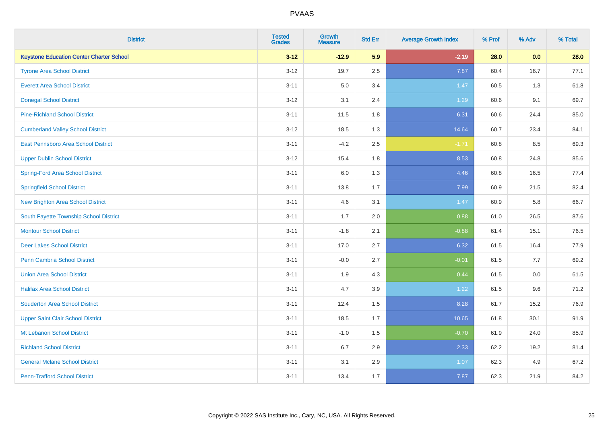| <b>District</b>                                 | <b>Tested</b><br><b>Grades</b> | <b>Growth</b><br><b>Measure</b> | <b>Std Err</b> | <b>Average Growth Index</b> | % Prof | % Adv   | % Total |
|-------------------------------------------------|--------------------------------|---------------------------------|----------------|-----------------------------|--------|---------|---------|
| <b>Keystone Education Center Charter School</b> | $3 - 12$                       | $-12.9$                         | 5.9            | $-2.19$                     | 28.0   | 0.0     | 28.0    |
| <b>Tyrone Area School District</b>              | $3 - 12$                       | 19.7                            | 2.5            | 7.87                        | 60.4   | 16.7    | 77.1    |
| <b>Everett Area School District</b>             | $3 - 11$                       | 5.0                             | 3.4            | 1.47                        | 60.5   | 1.3     | 61.8    |
| <b>Donegal School District</b>                  | $3 - 12$                       | 3.1                             | 2.4            | 1.29                        | 60.6   | 9.1     | 69.7    |
| <b>Pine-Richland School District</b>            | $3 - 11$                       | 11.5                            | 1.8            | 6.31                        | 60.6   | 24.4    | 85.0    |
| <b>Cumberland Valley School District</b>        | $3 - 12$                       | 18.5                            | 1.3            | 14.64                       | 60.7   | 23.4    | 84.1    |
| East Pennsboro Area School District             | $3 - 11$                       | $-4.2$                          | 2.5            | $-1.71$                     | 60.8   | 8.5     | 69.3    |
| <b>Upper Dublin School District</b>             | $3 - 12$                       | 15.4                            | 1.8            | 8.53                        | 60.8   | 24.8    | 85.6    |
| Spring-Ford Area School District                | $3 - 11$                       | 6.0                             | 1.3            | 4.46                        | 60.8   | 16.5    | 77.4    |
| <b>Springfield School District</b>              | $3 - 11$                       | 13.8                            | 1.7            | 7.99                        | 60.9   | 21.5    | 82.4    |
| <b>New Brighton Area School District</b>        | $3 - 11$                       | 4.6                             | 3.1            | 1.47                        | 60.9   | 5.8     | 66.7    |
| South Fayette Township School District          | $3 - 11$                       | 1.7                             | 2.0            | 0.88                        | 61.0   | 26.5    | 87.6    |
| <b>Montour School District</b>                  | $3 - 11$                       | $-1.8$                          | 2.1            | $-0.88$                     | 61.4   | 15.1    | 76.5    |
| <b>Deer Lakes School District</b>               | $3 - 11$                       | 17.0                            | 2.7            | 6.32                        | 61.5   | 16.4    | 77.9    |
| Penn Cambria School District                    | $3 - 11$                       | $-0.0$                          | 2.7            | $-0.01$                     | 61.5   | 7.7     | 69.2    |
| <b>Union Area School District</b>               | $3 - 11$                       | 1.9                             | 4.3            | 0.44                        | 61.5   | $0.0\,$ | 61.5    |
| <b>Halifax Area School District</b>             | $3 - 11$                       | 4.7                             | 3.9            | 1.22                        | 61.5   | 9.6     | 71.2    |
| <b>Souderton Area School District</b>           | $3 - 11$                       | 12.4                            | 1.5            | 8.28                        | 61.7   | 15.2    | 76.9    |
| <b>Upper Saint Clair School District</b>        | $3 - 11$                       | 18.5                            | 1.7            | 10.65                       | 61.8   | 30.1    | 91.9    |
| Mt Lebanon School District                      | $3 - 11$                       | $-1.0$                          | 1.5            | $-0.70$                     | 61.9   | 24.0    | 85.9    |
| <b>Richland School District</b>                 | $3 - 11$                       | 6.7                             | 2.9            | 2.33                        | 62.2   | 19.2    | 81.4    |
| <b>General Mclane School District</b>           | $3 - 11$                       | 3.1                             | 2.9            | 1.07                        | 62.3   | 4.9     | 67.2    |
| <b>Penn-Trafford School District</b>            | $3 - 11$                       | 13.4                            | 1.7            | 7.87                        | 62.3   | 21.9    | 84.2    |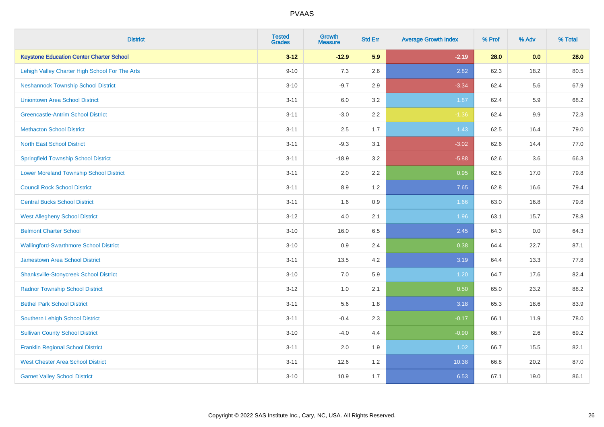| <b>District</b>                                 | <b>Tested</b><br><b>Grades</b> | <b>Growth</b><br><b>Measure</b> | <b>Std Err</b> | <b>Average Growth Index</b> | % Prof | % Adv   | % Total |
|-------------------------------------------------|--------------------------------|---------------------------------|----------------|-----------------------------|--------|---------|---------|
| <b>Keystone Education Center Charter School</b> | $3 - 12$                       | $-12.9$                         | 5.9            | $-2.19$                     | 28.0   | 0.0     | 28.0    |
| Lehigh Valley Charter High School For The Arts  | $9 - 10$                       | 7.3                             | 2.6            | 2.82                        | 62.3   | 18.2    | 80.5    |
| <b>Neshannock Township School District</b>      | $3 - 10$                       | $-9.7$                          | 2.9            | $-3.34$                     | 62.4   | 5.6     | 67.9    |
| <b>Uniontown Area School District</b>           | $3 - 11$                       | 6.0                             | 3.2            | 1.87                        | 62.4   | 5.9     | 68.2    |
| <b>Greencastle-Antrim School District</b>       | $3 - 11$                       | $-3.0$                          | 2.2            | $-1.36$                     | 62.4   | 9.9     | 72.3    |
| <b>Methacton School District</b>                | $3 - 11$                       | 2.5                             | 1.7            | 1.43                        | 62.5   | 16.4    | 79.0    |
| <b>North East School District</b>               | $3 - 11$                       | $-9.3$                          | 3.1            | $-3.02$                     | 62.6   | 14.4    | 77.0    |
| <b>Springfield Township School District</b>     | $3 - 11$                       | $-18.9$                         | 3.2            | $-5.88$                     | 62.6   | 3.6     | 66.3    |
| <b>Lower Moreland Township School District</b>  | $3 - 11$                       | 2.0                             | 2.2            | 0.95                        | 62.8   | 17.0    | 79.8    |
| <b>Council Rock School District</b>             | $3 - 11$                       | 8.9                             | 1.2            | 7.65                        | 62.8   | 16.6    | 79.4    |
| <b>Central Bucks School District</b>            | $3 - 11$                       | 1.6                             | 0.9            | 1.66                        | 63.0   | 16.8    | 79.8    |
| <b>West Allegheny School District</b>           | $3 - 12$                       | 4.0                             | 2.1            | 1.96                        | 63.1   | 15.7    | 78.8    |
| <b>Belmont Charter School</b>                   | $3 - 10$                       | 16.0                            | 6.5            | 2.45                        | 64.3   | $0.0\,$ | 64.3    |
| <b>Wallingford-Swarthmore School District</b>   | $3 - 10$                       | 0.9                             | 2.4            | 0.38                        | 64.4   | 22.7    | 87.1    |
| <b>Jamestown Area School District</b>           | $3 - 11$                       | 13.5                            | 4.2            | 3.19                        | 64.4   | 13.3    | 77.8    |
| <b>Shanksville-Stonycreek School District</b>   | $3 - 10$                       | 7.0                             | 5.9            | 1.20                        | 64.7   | 17.6    | 82.4    |
| <b>Radnor Township School District</b>          | $3 - 12$                       | 1.0                             | 2.1            | 0.50                        | 65.0   | 23.2    | 88.2    |
| <b>Bethel Park School District</b>              | $3 - 11$                       | 5.6                             | 1.8            | 3.18                        | 65.3   | 18.6    | 83.9    |
| <b>Southern Lehigh School District</b>          | $3 - 11$                       | $-0.4$                          | 2.3            | $-0.17$                     | 66.1   | 11.9    | 78.0    |
| <b>Sullivan County School District</b>          | $3 - 10$                       | $-4.0$                          | 4.4            | $-0.90$                     | 66.7   | 2.6     | 69.2    |
| <b>Franklin Regional School District</b>        | $3 - 11$                       | 2.0                             | 1.9            | 1.02                        | 66.7   | 15.5    | 82.1    |
| <b>West Chester Area School District</b>        | $3 - 11$                       | 12.6                            | 1.2            | 10.38                       | 66.8   | 20.2    | 87.0    |
| <b>Garnet Valley School District</b>            | $3 - 10$                       | 10.9                            | 1.7            | 6.53                        | 67.1   | 19.0    | 86.1    |